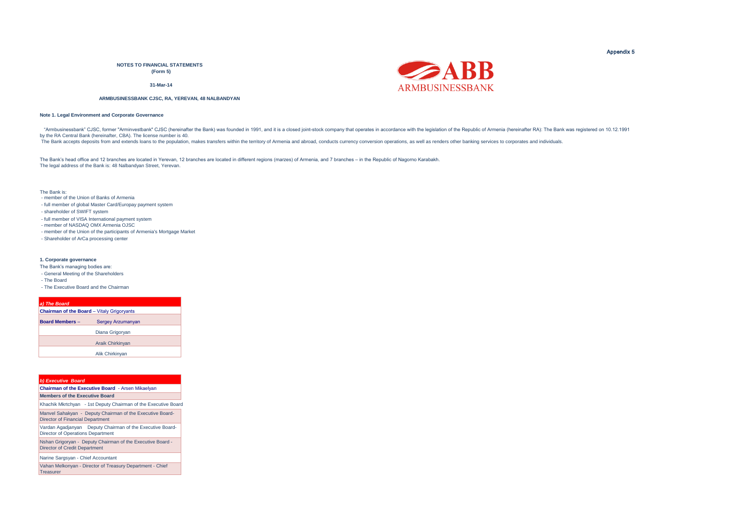**NOTES TO FINANCIAL STATEMENTS (Form 5)**

**31-Mar-14**

#### **ARMBUSINESSBANK CJSC, RA, YEREVAN, 48 NALBANDYAN**

#### **Note 1. Legal Environment and Corporate Governance**

"Armbusinessbank" CJSC, former "Arminvestbank" CJSC (hereinafter the Bank) was founded in 1991, and it is a closed joint-stock company that operates in accordance with the legislation of the Republic of Armenia (hereinafte by the RA Central Bank (hereinafter, CBA). The license number is 40.

The Bank accepts deposits from and extends loans to the population, makes transfers within the territory of Armenia and abroad, conducts currency conversion operations, as well as renders other banking services to corporat

The Bank's head office and 12 branches are located in Yerevan, 12 branches are located in different regions (marzes) of Armenia, and 7 branches – in the Republic of Nagorno Karabakh. The legal address of the Bank is: 48 Nalbandyan Street, Yerevan.

The Bank is:

- member of the Union of Banks of Armenia
- full member of global Master Card/Europay payment system
- shareholder of SWIFT system
- full member of VISA International payment system
- member of NASDAQ OMX Armenia OJSC
- member of the Union of the participants of Armenia's Mortgage Market
- Shareholder of ArCa processing center

#### **1. Corporate governance**

- The Bank's managing bodies are:
- General Meeting of the Shareholders
- The Board
- The Executive Board and the Chairman

| a) The Board           |                                            |  |
|------------------------|--------------------------------------------|--|
|                        | Chairman of the Board - Vitaly Grigoryants |  |
| <b>Board Members -</b> | <b>Sergey Arzumanyan</b>                   |  |
|                        | Diana Grigoryan                            |  |
|                        | <b>Araik Chirkinvan</b>                    |  |
|                        | Alik Chirkinyan                            |  |

| <b>b) Executive Board</b>                                                                            |  |  |  |  |  |
|------------------------------------------------------------------------------------------------------|--|--|--|--|--|
| Chairman of the Executive Board - Arsen Mikaelyan                                                    |  |  |  |  |  |
| <b>Members of the Executive Board</b>                                                                |  |  |  |  |  |
| Khachik Mkrtchyan - 1st Deputy Chairman of the Executive Board                                       |  |  |  |  |  |
| Manvel Sahakyan - Deputy Chairman of the Executive Board-<br><b>Director of Financial Department</b> |  |  |  |  |  |
| Vardan Agadjanyan Deputy Chairman of the Executive Board-<br>Director of Operations Department       |  |  |  |  |  |
| Nshan Grigoryan - Deputy Chairman of the Executive Board -<br><b>Director of Credit Department</b>   |  |  |  |  |  |
| Narine Sargsvan - Chief Accountant                                                                   |  |  |  |  |  |

Vahan Melkonyan - Director of Treasury Department - Chief **Treasurer** 



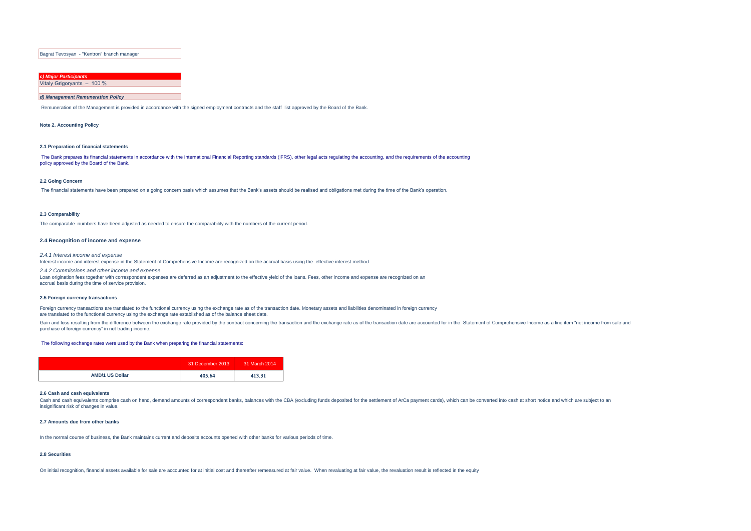Bagrat Tevosyan - "Kentron" branch manager

| c) Major Participants      |  |  |
|----------------------------|--|--|
| Vitaly Grigoryants - 100 % |  |  |
|                            |  |  |

#### *d) Management Remuneration Policy*

Remuneration of the Management is provided in accordance with the signed employment contracts and the staff list approved by the Board of the Bank.

**Note 2. Accounting Policy** 

#### **2.1 Preparation of financial statements**

The Bank prepares its financial statements in accordance with the International Financial Reporting standards (IFRS), other legal acts regulating the accounting, and the requirements of the accounting policy approved by the Board of the Bank.

#### **2.2 Going Concern**

The financial statements have been prepared on a going concern basis which assumes that the Bank's assets should be realised and obligations met during the time of the Bank's operation.

#### **2.3 Comparability**

The comparable numbers have been adjusted as needed to ensure the comparability with the numbers of the current period.

#### **2.4 Recognition of income and expense**

*2.4.1 Interest income and expense*  Interest income and interest expense in the Statement of Comprehensive Income are recognized on the accrual basis using the effective interest method.

*2.4.2 Commissions and other income and expense*  Loan origination fees together with correspondent expenses are deferred as an adjustment to the effective yield of the loans. Fees, other income and expense are recognized on an accrual basis during the time of service provision.

#### **2.5 Foreign currency transactions**

Foreign currency transactions are translated to the functional currency using the exchange rate as of the transaction date. Monetary assets and liabilities denominated in foreign currency are translated to the functional currency using the exchange rate established as of the balance sheet date.

Gain and loss resulting from the difference between the exchange rate provided by the contract concerning the transaction and the exchange rate as of the transaction date are accounted for in the Statement of Comprehensive purchase of foreign currency" in net trading income.

#### The following exchange rates were used by the Bank when preparing the financial statements:

|                        | 31 December 2013 | 31 March 2014 |
|------------------------|------------------|---------------|
| <b>AMD/1 US Dollar</b> | 405.64           | 413.31        |

#### **2.6 Cash and cash equivalents**

Cash and cash equivalents comprise cash on hand, demand amounts of correspondent banks, balances with the CBA (excluding funds deposited for the settlement of ArCa payment cards), which can be converted into cash at short insignificant risk of changes in value.

#### **2.7 Amounts due from other banks**

In the normal course of business, the Bank maintains current and deposits accounts opened with other banks for various periods of time.

#### **2.8 Securities**

On initial recognition, financial assets available for sale are accounted for at initial cost and thereafter remeasured at fair value. When revaluating at fair value, the revaluation result is reflected in the equity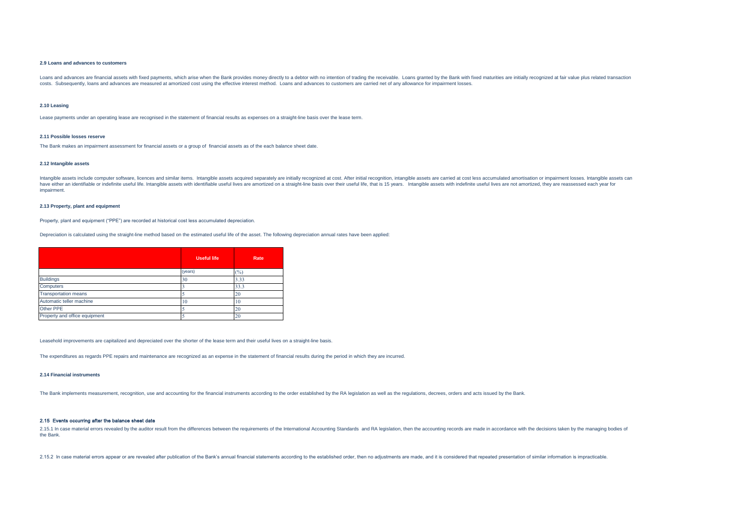#### **2.9 Loans and advances to customers**

Loans and advances are financial assets with fixed payments, which arise when the Bank provides money directly to a debtor with no intention of trading the receivable. Loans granted by the Bank with fixed maturities are in costs. Subsequently, loans and advances are measured at amortized cost using the effective interest method. Loans and advances to customers are carried net of any allowance for impairment losses.

#### **2.10 Leasing**

Lease payments under an operating lease are recognised in the statement of financial results as expenses on a straight-line basis over the lease term.

#### **2.11 Possible losses reserve**

The Bank makes an impairment assessment for financial assets or a group of financial assets as of the each balance sheet date.

#### **2.12 Intangible assets**

Intangible assets include computer software, licences and similar items. Intangible assets acquired separately are initially recognized at cost. After initial recognition, intangible assets are carried at cost less accumul have either an identifiable or indefinite useful life. Intangible assets with identifiable useful lives are amortized on a straight-line basis over their useful life, that is 15 years. Intangible assets with indefinite use impairment.

#### **2.13 Property, plant and equipment**

Property, plant and equipment ("PPE") are recorded at historical cost less accumulated depreciation.

Depreciation is calculated using the straight-line method based on the estimated useful life of the asset. The following depreciation annual rates have been applied:

|                               | <b>Useful life</b> | Rate   |
|-------------------------------|--------------------|--------|
|                               | (years)            | $(\%)$ |
| <b>Buildings</b>              | 30                 | 3.33   |
| Computers                     |                    | 33.3   |
| <b>Transportation means</b>   |                    | 20     |
| Automatic teller machine      | 10                 | 10     |
| Other PPE                     |                    | 20     |
| Property and office equipment |                    | 20     |

Leasehold improvements are capitalized and depreciated over the shorter of the lease term and their useful lives on a straight-line basis.

The expenditures as regards PPE repairs and maintenance are recognized as an expense in the statement of financial results during the period in which they are incurred.

#### **2.14 Financial instruments**

The Bank implements measurement, recognition, use and accounting for the financial instruments according to the order established by the RA legislation as well as the regulations, decrees, orders and acts issued by the Ban

#### 2.15 Events occurring after the balance sheet date

2.15.1 In case material errors revealed by the auditor result from the differences between the requirements of the International Accounting Standards and RA legislation, then the accounting records are made in accordance w the Bank.

2.15.2 In case material errors appear or are revealed after publication of the Bank's annual financial statements according to the established order, then no adjustments are made, and it is considered that repeated present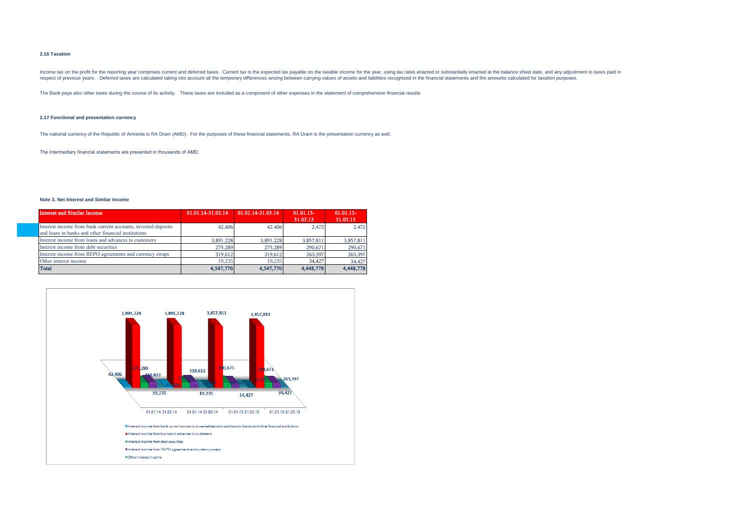#### **2.16 Taxation**

Income tax on the profit for the reporting year comprises current and deferred taxes. Current tax is the expected tax payable on the taxable income for the year, using tax rates enacted or substantially enacted at the bala respect of previous years. Deferred taxes are calculated taking into account all the temporary differences arising between carrying values of assets and liabilities recognized in the financial statements and the amounts ca

The Bank pays also other taxes during the course of its activity. These taxes are included as a component of other expenses in the statement of comprehensive financial results

#### **2.17 Functional and presentation currency**

The national currency of the Republic of Armenia is RA Dram (AMD). For the purposes of these financial statements, RA Dram is the presentation currency as well.

The intermediary financial statements are presented in thousands of AMD.

#### **Note 3. Net Interest and Similar Income**

| <b>Interest and Similar Income</b>                                                                                   | 01.01.14-31.03.14 | 01.01.14-31.03.14 | $01.01.13-$<br>31.03.13 | $01.01.13-$<br>31.03.13 |
|----------------------------------------------------------------------------------------------------------------------|-------------------|-------------------|-------------------------|-------------------------|
| Interest income from bank current accounts, invested deposits<br>and loans in banks and other financial institutions | 42,406            | 42,406            | 2.472                   | 2.472                   |
| Interest income from loans and advances to customers                                                                 | 3,891,228         | 3,891,228         | 3,857,811               | 3,857,811               |
| Interest income from debt securities                                                                                 | 275,289           | 275,289           | 290,671                 | 290,671                 |
| Interest income from REPO agreements and currency swaps                                                              | 319,612           | 319,612           | 263,397                 | 263,397                 |
| Other interest income                                                                                                | 19.235            | 19.235            | 34.427                  | 34,427                  |
| <b>Total</b>                                                                                                         | 4,547,770         | 4,547,770         | 4,448,778               | 4,448,778               |

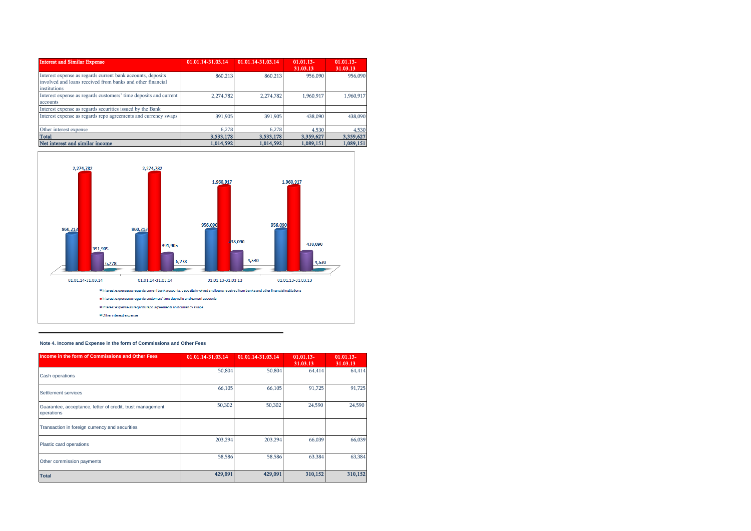| <b>Interest and Similar Expense</b>                                                                                                       | 01.01.14-31.03.14 | 01.01.14-31.03.14 | $01.01.13-$<br>31.03.13 | $01.01.13-$<br>31.03.13 |
|-------------------------------------------------------------------------------------------------------------------------------------------|-------------------|-------------------|-------------------------|-------------------------|
| Interest expense as regards current bank accounts, deposits<br>involved and loans received from banks and other financial<br>institutions | 860,213           | 860,213           | 956,090                 | 956,090                 |
| Interest expense as regards customers' time deposits and current<br>accounts                                                              | 2,274,782         | 2,274,782         | 1.960.917               | 1,960,917               |
| Interest expense as regards securities issued by the Bank                                                                                 |                   |                   |                         |                         |
| Interest expense as regards repo agreements and currency swaps                                                                            | 391,905           | 391,905           | 438,090                 | 438,090                 |
| Other interest expense                                                                                                                    | 6.278             | 6.278             | 4.530                   | 4,530                   |
| <b>Total</b>                                                                                                                              | 3,533,178         | 3,533,178         | 3,359,627               | 3,359,627               |
| Net interest and similar income                                                                                                           | 1,014,592         | 1,014,592         | 1,089,151               | 1,089,151               |



## **Note 4. Income and Expense in the form of Commissions and Other Fees**

| Income in the form of Commissions and Other Fees                        | $01.01.14 - 31.03.14$ | 01.01.14-31.03.14 | $01.01.13-$<br>31.03.13 | $01.01.13 -$<br>31.03.13 |
|-------------------------------------------------------------------------|-----------------------|-------------------|-------------------------|--------------------------|
| <b>Cash operations</b>                                                  | 50,804                | 50,804            | 64,414                  | 64,414                   |
| Settlement services                                                     | 66,105                | 66,105            | 91,725                  | 91,725                   |
| Guarantee, acceptance, letter of credit, trust management<br>operations | 50,302                | 50,302            | 24,590                  | 24,590                   |
| Transaction in foreign currency and securities                          |                       |                   |                         |                          |
| Plastic card operations                                                 | 203,294               | 203.294           | 66,039                  | 66,039                   |
| Other commission payments                                               | 58,586                | 58,586            | 63,384                  | 63,384                   |
| <b>Total</b>                                                            | 429,091               | 429,091           | 310,152                 | 310,152                  |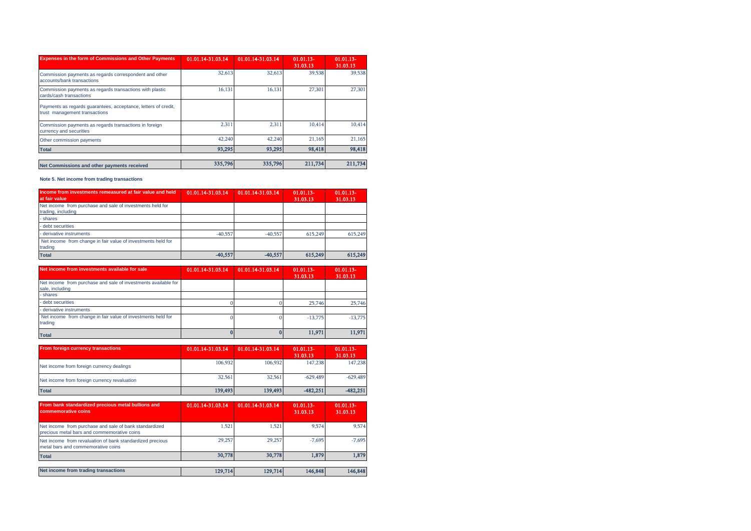| <b>Expenses in the form of Commissions and Other Payments</b>                                   | 01.01.14-31.03.14 | 01.01.14-31.03.14 | $01.01.13-$<br>31.03.13 | $01.01.13-$<br>31.03.13 |
|-------------------------------------------------------------------------------------------------|-------------------|-------------------|-------------------------|-------------------------|
| Commission payments as regards correspondent and other<br>accounts/bank transactions            | 32,613            | 32,613            | 39,538                  | 39,538                  |
| Commission payments as regards transactions with plastic<br>cards/cash transactions             | 16,131            | 16,131            | 27,301                  | 27,301                  |
| Payments as regards guarantees, acceptance, letters of credit,<br>trust management transactions |                   |                   |                         |                         |
| Commission payments as regards transactions in foreign<br>currency and securities               | 2.311             | 2.311             | 10.414                  | 10,414                  |
| Other commission payments                                                                       | 42,240            | 42,240            | 21,165                  | 21,165                  |
| <b>Total</b>                                                                                    | 93,295            | 93,295            | 98,418                  | 98,418                  |
| Net Commissions and other payments received                                                     | 335,796           | 335,796           | 211,734                 | 211,734                 |

**Note 5. Net income from trading transactions**

| Income from investments remeasured at fair value and held<br>at fair value      | 01.01.14-31.03.14 | 01.01.14-31.03.14 | $01.01.13-$<br>31.03.13 | $01.01.13-$<br>31.03.13 |
|---------------------------------------------------------------------------------|-------------------|-------------------|-------------------------|-------------------------|
| Net income from purchase and sale of investments held for<br>trading, including |                   |                   |                         |                         |
| - shares                                                                        |                   |                   |                         |                         |
| - debt securities                                                               |                   |                   |                         |                         |
| - derivative instruments                                                        | $-40.557$         | $-40.557$         | 615,249                 | 615,249                 |
| Net income from change in fair value of investments held for<br>trading         |                   |                   |                         |                         |
| <b>Total</b>                                                                    | $-40,557$         | $-40.557$         | 615.249                 | 615,249                 |

| Net income from investments available for sale                                    | 01.01.14-31.03.14 | 01.01.14-31.03.14 | $01.01.13-$<br>31.03.13 | $01.01.13-$<br>31.03.13 |
|-----------------------------------------------------------------------------------|-------------------|-------------------|-------------------------|-------------------------|
| Net income from purchase and sale of investments available for<br>sale, including |                   |                   |                         |                         |
| - shares                                                                          |                   |                   |                         |                         |
| - debt securities                                                                 |                   |                   | 25,746                  | 25,746                  |
| - derivative instruments                                                          |                   |                   |                         |                         |
| Net income from change in fair value of investments held for<br>trading           |                   |                   | $-13,775$               | $-13,775$               |
| <b>Total</b>                                                                      |                   |                   | 11.971                  | 11.971                  |

| From foreign currency transactions           | 01.01.14-31.03.14 | 01.01.14-31.03.14 | $01.01.13-$<br>31.03.13 | $01.01.13-$<br>31.03.13 |
|----------------------------------------------|-------------------|-------------------|-------------------------|-------------------------|
| Net income from foreign currency dealings    | 106.932           | 106.932           | 147.238                 | 147.238                 |
| Net income from foreign currency revaluation | 32,561            | 32,561            | $-629.489$              | $-629.489$              |
| <b>Total</b>                                 | 139.493           | 139,493           | $-482.251$              | $-482,251$              |

| From bank standardized precious metal bullions and<br>commemorative coins                             | 01.01.14-31.03.14 | 01.01.14-31.03.14 | $01.01.13-$<br>31.03.13 | $01.01.13-$<br>31.03.13 |
|-------------------------------------------------------------------------------------------------------|-------------------|-------------------|-------------------------|-------------------------|
| Net income from purchase and sale of bank standardized<br>precious metal bars and commemorative coins | 1.521             | 1.521             | 9.574                   | 9.574                   |
| Net income from revaluation of bank standardized precious<br>metal bars and commemorative coins       | 29,257            | 29,257            | $-7.695$                | $-7.695$                |
| <b>Total</b>                                                                                          | 30,778            | 30.778            | 1.879                   | 1,879                   |
|                                                                                                       |                   |                   |                         |                         |
| Net income from trading transactions                                                                  | 129,714           | 129,714           | 146,848                 | 146,848                 |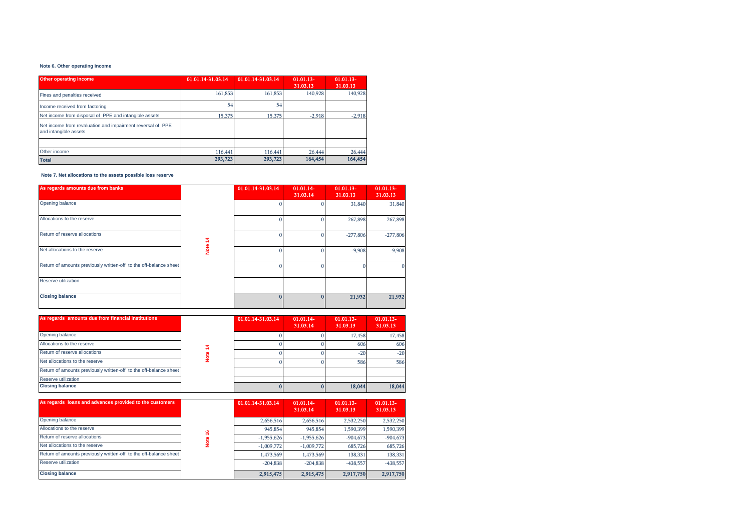## **Note 6. Other operating income**

| <b>Other operating income</b>                                                       | 01.01.14-31.03.14 | 01.01.14-31.03.14 | $01.01.13-$<br>31.03.13 | $01.01.13-$<br>31.03.13 |
|-------------------------------------------------------------------------------------|-------------------|-------------------|-------------------------|-------------------------|
| Fines and penalties received                                                        | 161,853           | 161,853           | 140,928                 | 140.928                 |
| Income received from factoring                                                      | 54                | 54                |                         |                         |
| Net income from disposal of PPE and intangible assets                               | 15,375            | 15,375            | $-2,918$                | $-2,918$                |
| Net income from revaluation and impairment reversal of PPE<br>and intangible assets |                   |                   |                         |                         |
|                                                                                     |                   |                   |                         |                         |
| Other income                                                                        | 116,441           | 116,441           | 26,444                  | 26,444                  |
| <b>Total</b>                                                                        | 293,723           | 293,723           | 164,454                 | 164,454                 |

 **Note 7. Net allocations to the assets possible loss reserve**

| As regards amounts due from banks                                 |      | 01.01.14-31.03.14 | $01.01.14-$<br>31.03.14 | $01.01.13-$<br>31.03.13 | $01.01.13-$<br>31.03.13 |
|-------------------------------------------------------------------|------|-------------------|-------------------------|-------------------------|-------------------------|
| Opening balance                                                   |      |                   |                         | 31,840                  | 31,840                  |
| Allocations to the reserve                                        |      |                   |                         | 267,898                 | 267,898                 |
| Return of reserve allocations                                     | 2    |                   |                         | $-277,806$              | $-277,806$              |
| Net allocations to the reserve                                    | Note |                   |                         | $-9,908$                | $-9,908$                |
| Return of amounts previously written-off to the off-balance sheet |      |                   |                         |                         |                         |
| Reserve utilization                                               |      |                   |                         |                         |                         |
| <b>Closing balance</b>                                            |      |                   |                         | 21,932                  | 21,932                  |

| As regards amounts due from financial institutions                |   | 01.01.14-31.03.14 | $01.01.14-$<br>31.03.14 | $01.01.13-$<br>31.03.13 | $01.01.13-$<br>31.03.13 |
|-------------------------------------------------------------------|---|-------------------|-------------------------|-------------------------|-------------------------|
| Opening balance                                                   |   |                   |                         | 17,458                  | 17,458                  |
| Allocations to the reserve                                        | ₹ |                   |                         | 606                     | 606                     |
| Return of reserve allocations                                     |   |                   |                         | $-20$                   | $-20$                   |
| Net allocations to the reserve                                    |   |                   |                         | 586                     | 586                     |
| Return of amounts previously written-off to the off-balance sheet |   |                   |                         |                         |                         |
| Reserve utilization                                               |   |                   |                         |                         |                         |
| <b>Closing balance</b>                                            |   |                   |                         | 18,044                  | 18,044                  |

| As regards loans and advances provided to the customers           |   | 01.01.14-31.03.14 | $01.01.14-$<br>31.03.14 | $01.01.13-$<br>31.03.13 | $01.01.13-$<br>31.03.13 |
|-------------------------------------------------------------------|---|-------------------|-------------------------|-------------------------|-------------------------|
| Opening balance                                                   |   | 2,656,516         | 2,656,516               | 2,532,250               | 2,532,250               |
| Allocations to the reserve                                        | ڥ | 945,854           | 945,854                 | 1,590,399               | 1,590,399               |
| Return of reserve allocations                                     |   | $-1,955,626$      | $-1,955,626$            | $-904.673$              | $-904.673$              |
| Net allocations to the reserve                                    |   | $-1,009,772$      | $-1.009.772$            | 685,726                 | 685,726                 |
| Return of amounts previously written-off to the off-balance sheet |   | 1,473,569         | 1,473,569               | 138,331                 | 138,331                 |
| Reserve utilization                                               |   | $-204.838$        | $-204.838$              | $-438.557$              | $-438,557$              |
| <b>Closing balance</b>                                            |   | 2,915,475         | 2,915,475               | 2,917,750               | 2,917,750               |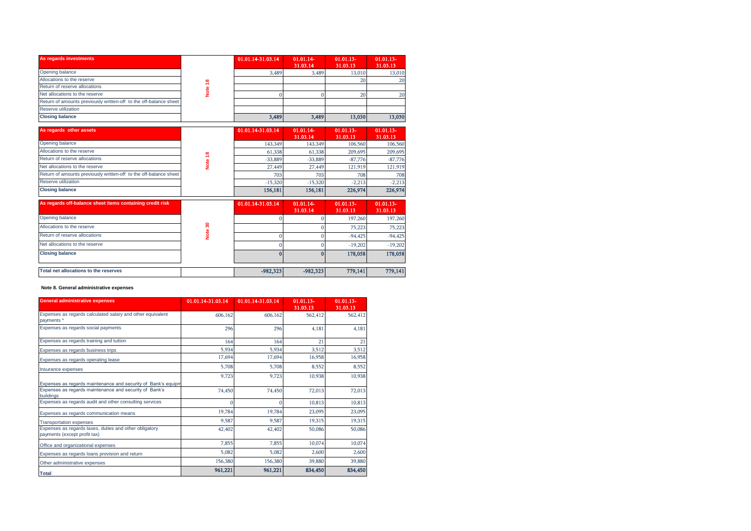| As regards investments                                            |          | 01.01.14-31.03.14 | $01.01.14-$<br>31.03.14 | $01.01.13-$<br>31.03.13 | $01.01.13-$<br>31.03.13 |
|-------------------------------------------------------------------|----------|-------------------|-------------------------|-------------------------|-------------------------|
| Opening balance                                                   |          | 3.489             | 3.489                   | 13,010                  | 13,010                  |
| Allocations to the reserve                                        | $\infty$ |                   |                         |                         | 20                      |
| Return of reserve allocations                                     |          |                   |                         |                         |                         |
| Net allocations to the reserve                                    |          |                   |                         | 20 <sub>1</sub>         | 20                      |
| Return of amounts previously written-off to the off-balance sheet |          |                   |                         |                         |                         |
| Reserve utilization                                               |          |                   |                         |                         |                         |
| <b>Closing balance</b>                                            |          | 3,489             | 3,489                   | 13,030                  | 13,030                  |

|                                                                   |   |                   |                         | ZV.                     | ZU.                     |
|-------------------------------------------------------------------|---|-------------------|-------------------------|-------------------------|-------------------------|
| Return of reserve allocations                                     |   |                   |                         |                         |                         |
| Net allocations to the reserve                                    |   |                   |                         | 20                      | 20                      |
| Return of amounts previously written-off to the off-balance sheet |   |                   |                         |                         |                         |
| Reserve utilization                                               |   |                   |                         |                         |                         |
| <b>Closing balance</b>                                            |   | 3,489             | 3,489                   | 13,030                  | 13,030                  |
| As regards other assets                                           |   | 01.01.14-31.03.14 | $01.01.14-$<br>31.03.14 | $01.01.13-$<br>31.03.13 | $01.01.13-$<br>31.03.13 |
| Opening balance                                                   |   | 143,349           | 143,349                 | 106,560                 | 106,560                 |
| Allocations to the reserve                                        | œ | 61,338            | 61,338                  | 209,695                 | 209,695                 |
| Return of reserve allocations                                     |   | $-33.889$         | $-33.889$               | $-87,776$               | $-87,776$               |
| Net allocations to the reserve                                    |   | 27,449            | 27,449                  | 121,919                 | 121,919                 |
| Return of amounts previously written-off to the off-balance sheet |   | 703               | 703                     | 708                     | 708                     |
| Reserve utilization                                               |   | $-15,320$         | $-15,320$               | $-2,213$                | $-2,213$                |
| <b>Closing balance</b>                                            |   | 156,181           | 156,181                 | 226,974                 | 226,974                 |

| As regards off-balance sheet items containing credit risk |   | 01.01.14-31.03.14 | $01.01.14-$<br>31.03.14 | $01.01.13-$<br>31.03.13 | $01.01.13 -$<br>31.03.13 |
|-----------------------------------------------------------|---|-------------------|-------------------------|-------------------------|--------------------------|
| Opening balance                                           |   |                   |                         | 197,260                 | 197,260                  |
| Allocations to the reserve                                | ຂ |                   |                         | 75.223                  | 75,223                   |
| Return of reserve allocations                             |   |                   |                         | $-94.425$               | $-94,425$                |
| Net allocations to the reserve                            |   |                   |                         | $-19,202$               | $-19,202$                |
| <b>Closing balance</b>                                    |   |                   |                         | 178,058                 | 178,058                  |
| Total net allocations to the reserves                     |   | $-982.323$        | $-982.323$              | 779,141                 | 779,141                  |

## **Note 8. General administrative expenses**

| <b>General administrative expenses</b>                                                 | 01.01.14-31.03.14 | 01.01.14-31.03.14 | $01.01.13-$<br>31.03.13 | $01.01.13-$<br>31.03.13 |
|----------------------------------------------------------------------------------------|-------------------|-------------------|-------------------------|-------------------------|
| Expenses as regards calculated salary and other equivalent<br>payments *               | 606,162           | 606,162           | 562,412                 | 562,412                 |
| Expenses as regards social payments                                                    | 296               | 296               | 4,181                   | 4,181                   |
| Expenses as regards training and tuition                                               | 164               | 164               | 21                      | 21                      |
| Expenses as regards business trips                                                     | 5,934             | 5,934             | 3,512                   | 3,512                   |
| Expenses as regards operating lease                                                    | 17,694            | 17,694            | 16,958                  | 16,958                  |
| Insurance expenses                                                                     | 5,708             | 5,708             | 8,552                   | 8,552                   |
|                                                                                        | 9,723             | 9,723             | 10,938                  | 10,938                  |
| Expenses as regards maintenance and security of Bank's equipm                          |                   |                   |                         |                         |
| Expenses as regards maintenance and security of Bank's<br>buildings                    | 74,450            | 74.450            | 72,013                  | 72,013                  |
| Expenses as regards audit and other consulting services                                |                   | $\Omega$          | 10,813                  | 10,813                  |
| Expenses as regards communication means                                                | 19,784            | 19,784            | 23,095                  | 23,095                  |
| <b>Transportation expenses</b>                                                         | 9,587             | 9,587             | 19,315                  | 19,315                  |
| Expenses as regards taxes, duties and other obligatory<br>payments (except profit tax) | 42,402            | 42,402            | 50,086                  | 50,086                  |
| Office and organizational expenses                                                     | 7,855             | 7,855             | 10,074                  | 10,074                  |
| Expenses as regards loans provision and return                                         | 5,082             | 5,082             | 2,600                   | 2,600                   |
| Other administrative expenses                                                          | 156,380           | 156,380           | 39,880                  | 39,880                  |
| <b>Total</b>                                                                           | 961,221           | 961,221           | 834,450                 | 834,450                 |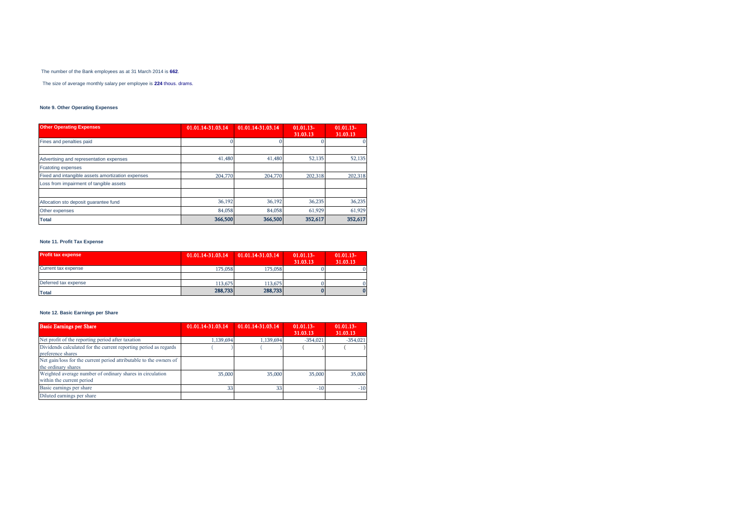The number of the Bank employees as at 31 March 2014 is **662**.

The size of average monthly salary per employee is **224** thous. drams.

# **Note 9. Other Operating Expenses**

| <b>Other Operating Expenses</b>                   | 01.01.14-31.03.14 | 01.01.14-31.03.14 | $01.01.13-$<br>31.03.13 | $01.01.13-$<br>31.03.13 |
|---------------------------------------------------|-------------------|-------------------|-------------------------|-------------------------|
| Fines and penalties paid                          |                   |                   |                         | $\Omega$                |
|                                                   |                   |                   |                         |                         |
| Advertising and representation expenses           | 41,480            | 41,480            | 52,135                  | 52,135                  |
| <b>Fcatoting expenses</b>                         |                   |                   |                         |                         |
| Fixed and intangible assets amortization expenses | 204,770           | 204,770           | 202,318                 | 202,318                 |
| Loss from impairment of tangible assets           |                   |                   |                         |                         |
| Allocation sto deposit quarantee fund             | 36,192            | 36,192            | 36,235                  | 36,235                  |
| Other expenses                                    | 84.058            | 84,058            | 61,929                  | 61,929                  |
| <b>Total</b>                                      | 366,500           | 366,500           | 352,617                 | 352,617                 |

# **Note 11. Profit Tax Expense**

| <b>Profit tax expense</b> | 01.01.14-31.03.14   01.01.14-31.03.14 |         | $01.01.13-$<br>31.03.13 | $01.01.13-$<br>31.03.13 |
|---------------------------|---------------------------------------|---------|-------------------------|-------------------------|
| Current tax expense       | 175,058                               | 175,058 |                         |                         |
|                           |                                       |         |                         |                         |
| Deferred tax expense      | 113,675                               | 113,675 |                         |                         |
| <b>Total</b>              | 288,733                               | 288,733 |                         |                         |

# **Note 12. Basic Earnings per Share**

| <b>Basic Earnings per Share</b>                                                           | 01.01.14-31.03.14 | 01.01.14-31.03.14 | $01.01.13-$<br>31.03.13 | $01.01.13-$<br>31.03.13 |
|-------------------------------------------------------------------------------------------|-------------------|-------------------|-------------------------|-------------------------|
| Net profit of the reporting period after taxation                                         | 1.139.694         | 1.139.694         | $-354.021$              | $-354.021$              |
| Dividends calculated for the current reporting period as regards<br>preference shares     |                   |                   |                         |                         |
| Net gain/loss for the current period attributable to the owners of<br>the ordinary shares |                   |                   |                         |                         |
| Weighted average number of ordinary shares in circulation<br>within the current period    | 35,000            | 35,000            | 35,000                  | 35,000                  |
| Basic earnings per share                                                                  | 33                | 33                | $-10$                   | $-10$                   |
| Diluted earnings per share                                                                |                   |                   |                         |                         |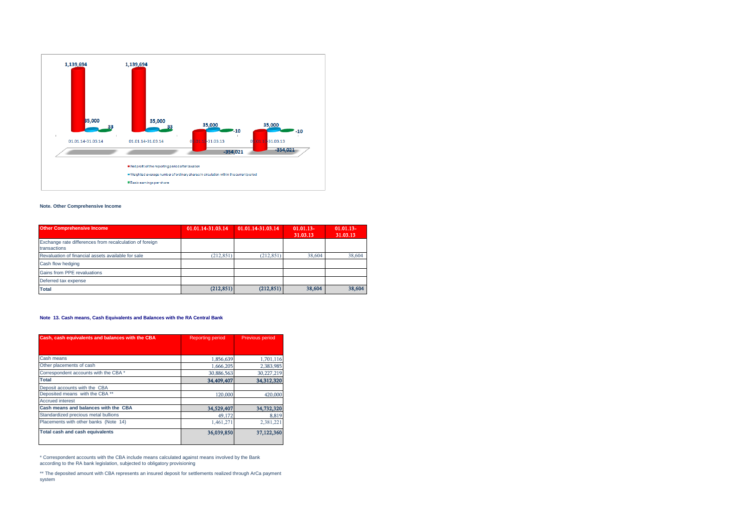

## **Note. Other Comprehensive Income**

| <b>Other Comprehensive Income</b>                                       | 01.01.14-31.03.14 | 01.01.14-31.03.14 | $01.01.13-$<br>31.03.13 | $01.01.13 -$<br>31.03.13 |
|-------------------------------------------------------------------------|-------------------|-------------------|-------------------------|--------------------------|
| Exchange rate differences from recalculation of foreign<br>transactions |                   |                   |                         |                          |
| Revaluation of financial assets available for sale                      | (212, 851)        | (212.851)         | 38,604                  | 38,604                   |
| Cash flow hedging                                                       |                   |                   |                         |                          |
| Gains from PPE revaluations                                             |                   |                   |                         |                          |
| Deferred tax expense                                                    |                   |                   |                         |                          |
| <b>Total</b>                                                            | (212, 851)        | (212, 851)        | 38,604                  | 38,604                   |

## **Note 13. Cash means, Cash Equivalents and Balances with the RA Central Bank**

| Cash, cash equivalents and balances with the CBA | <b>Reporting period</b> | Previous period |
|--------------------------------------------------|-------------------------|-----------------|
|                                                  |                         |                 |
| Cash means                                       | 1,856,639               | 1,701,116       |
| Other placements of cash                         | 1,666,205               | 2,383,985       |
| Correspondent accounts with the CBA *            | 30,886,563              | 30,227,219      |
| <b>Total</b>                                     | 34,409,407              | 34,312,320      |
| Deposit accounts with the CBA                    |                         |                 |
| Deposited means with the CBA **                  | 120,000                 | 420,000         |
| <b>Accrued interest</b>                          |                         |                 |
| Cash means and balances with the CBA             | 34,529,407              | 34,732,320      |
| Standardized precious metal bullions             | 49.172                  | 8,819           |
| Placements with other banks (Note 14)            | 1,461,271               | 2,381,221       |
| Total cash and cash equivalents                  | 36,039,850              | 37,122,360      |

\* Correspondent accounts with the CBA include means calculated against means involved by the Bank according to the RA bank legislation, subjected to obligatory provisioning

\*\* The deposited amount with CBA represents an insured deposit for settlements realized through ArCa payment system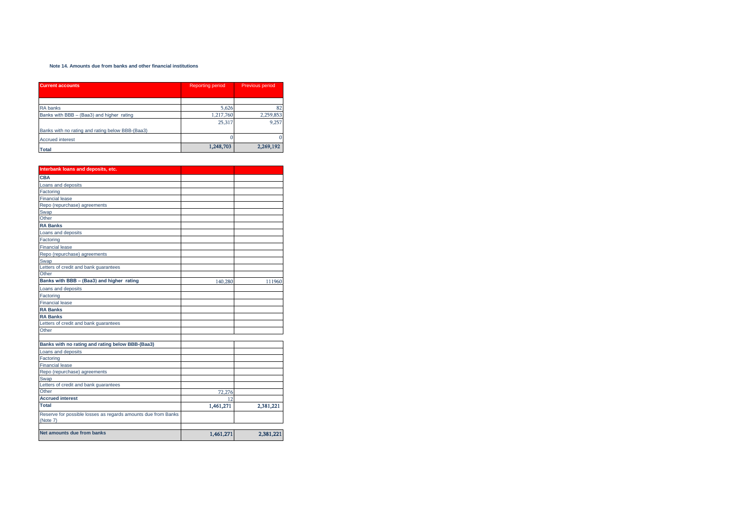#### **Note 14. Amounts due from banks and other financial institutions**

| <b>Current accounts</b>                          | <b>Reporting period</b> | <b>Previous period</b> |
|--------------------------------------------------|-------------------------|------------------------|
|                                                  |                         |                        |
| RA banks                                         | 5,626                   | 82                     |
| Banks with BBB - (Baa3) and higher rating        | 1,217,760               | 2,259,853              |
|                                                  | 25.317                  | 9.257                  |
| Banks with no rating and rating below BBB-(Baa3) |                         |                        |
| <b>Accrued interest</b>                          |                         | 0                      |
| <b>Total</b>                                     | 1,248,703               | 2,269,192              |

| Interbank loans and deposits, etc.                            |           |           |
|---------------------------------------------------------------|-----------|-----------|
| <b>CBA</b>                                                    |           |           |
| Loans and deposits                                            |           |           |
| Factoring                                                     |           |           |
| <b>Financial lease</b>                                        |           |           |
| Repo (repurchase) agreements                                  |           |           |
| Swap                                                          |           |           |
| Other                                                         |           |           |
| <b>RA Banks</b>                                               |           |           |
| Loans and deposits                                            |           |           |
| Factoring                                                     |           |           |
| <b>Financial lease</b>                                        |           |           |
| Repo (repurchase) agreements                                  |           |           |
| Swap                                                          |           |           |
| Letters of credit and bank guarantees                         |           |           |
| Other                                                         |           |           |
| Banks with BBB - (Baa3) and higher rating                     | 140,280   | 111960    |
| Loans and deposits                                            |           |           |
| Factoring                                                     |           |           |
| <b>Financial lease</b>                                        |           |           |
| <b>RA Banks</b>                                               |           |           |
| <b>RA Banks</b>                                               |           |           |
| Letters of credit and bank guarantees                         |           |           |
| Other                                                         |           |           |
|                                                               |           |           |
| Banks with no rating and rating below BBB-(Baa3)              |           |           |
| Loans and deposits                                            |           |           |
| Factoring                                                     |           |           |
| <b>Financial lease</b>                                        |           |           |
| Repo (repurchase) agreements                                  |           |           |
| Swap                                                          |           |           |
| Letters of credit and bank guarantees                         |           |           |
| Other                                                         | 72,276    |           |
| <b>Accrued interest</b>                                       | 12        |           |
| Total                                                         | 1,461,271 | 2,381,221 |
| Reserve for possible losses as regards amounts due from Banks |           |           |
| (Note 7)                                                      |           |           |
|                                                               |           |           |
| Net amounts due from banks                                    | 1,461,271 | 2,381,221 |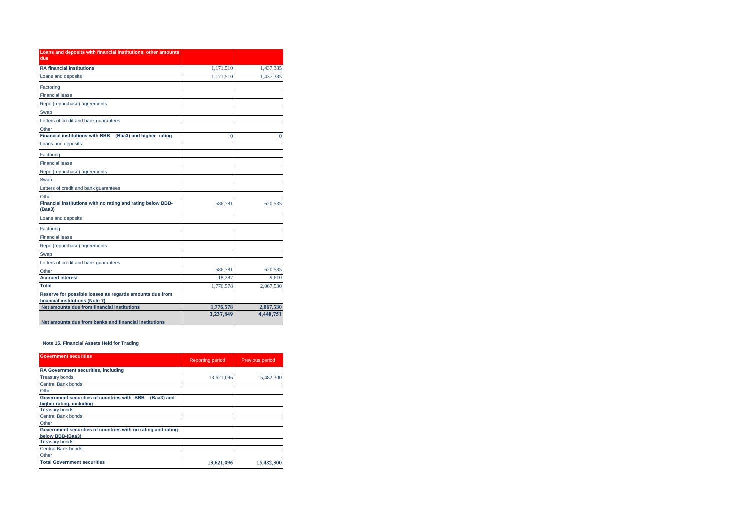| Loans and deposits with financial institutions, other amounts<br>due                       |           |           |
|--------------------------------------------------------------------------------------------|-----------|-----------|
| <b>RA financial institutions</b>                                                           | 1,171,510 | 1,437,385 |
| Loans and deposits                                                                         | 1,171,510 | 1,437,385 |
| Factoring                                                                                  |           |           |
| <b>Financial lease</b>                                                                     |           |           |
| Repo (repurchase) agreements                                                               |           |           |
| Swap                                                                                       |           |           |
| Letters of credit and bank quarantees                                                      |           |           |
| Other                                                                                      |           |           |
| Financial institutions with BBB - (Baa3) and higher rating                                 | $\Omega$  | 0         |
| Loans and deposits                                                                         |           |           |
| Factoring                                                                                  |           |           |
| <b>Financial lease</b>                                                                     |           |           |
| Repo (repurchase) agreements                                                               |           |           |
| Swap                                                                                       |           |           |
| Letters of credit and bank guarantees                                                      |           |           |
| Other                                                                                      |           |           |
| Financial institutions with no rating and rating below BBB-<br>(Baa3)                      | 586,781   | 620,535   |
| Loans and deposits                                                                         |           |           |
| Factoring                                                                                  |           |           |
| <b>Financial lease</b>                                                                     |           |           |
| Repo (repurchase) agreements                                                               |           |           |
| Swap                                                                                       |           |           |
| Letters of credit and bank guarantees                                                      |           |           |
| Other                                                                                      | 586,781   | 620,535   |
| <b>Accrued interest</b>                                                                    | 18.287    | 9.610     |
| Total                                                                                      | 1,776,578 | 2,067,530 |
| Reserve for possible losses as regards amounts due from<br>financial institutions (Note 7) |           |           |
| Net amounts due from financial institutions                                                | 1,776,578 | 2,067,530 |
| Net amounts due from banks and financial institutions                                      | 3,237,849 | 4,448,751 |

## **Note 15. Financial Assets Held for Trading**

| <b>Government securities</b>                                                         | <b>Reporting period</b> | Previous period |
|--------------------------------------------------------------------------------------|-------------------------|-----------------|
| RA Government securities, including                                                  |                         |                 |
| <b>Treasury bonds</b>                                                                | 13,621,096              | 15,482,300      |
| <b>Central Bank bonds</b>                                                            |                         |                 |
| Other                                                                                |                         |                 |
| Government securities of countries with BBB - (Baa3) and<br>higher rating, including |                         |                 |
| <b>Treasury bonds</b>                                                                |                         |                 |
| Central Bank bonds                                                                   |                         |                 |
| Other                                                                                |                         |                 |
| Government securities of countries with no rating and rating<br>below BBB-(Baa3)     |                         |                 |
| <b>Treasury bonds</b>                                                                |                         |                 |
| Central Bank bonds                                                                   |                         |                 |
| Other                                                                                |                         |                 |
| <b>Total Government securities</b>                                                   | 13,621,096              | 15,482,300      |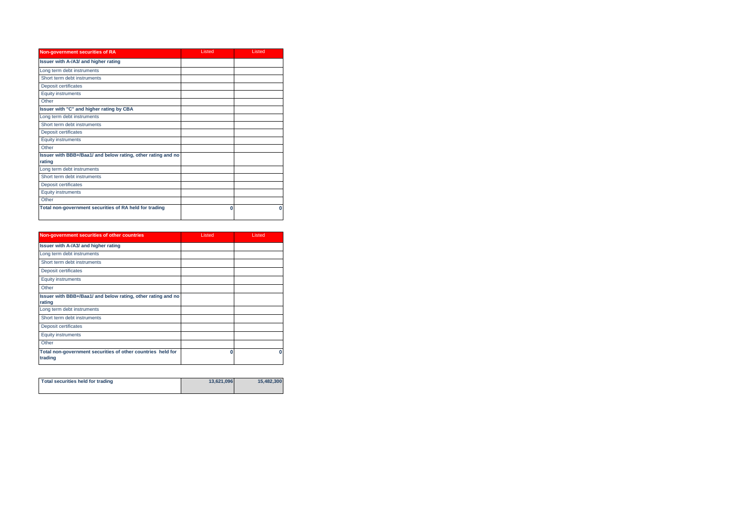| Non-government securities of RA                                        | Listed | Listed |
|------------------------------------------------------------------------|--------|--------|
| Issuer with A-/A3/ and higher rating                                   |        |        |
| Long term debt instruments                                             |        |        |
| Short term debt instruments                                            |        |        |
| Deposit certificates                                                   |        |        |
| <b>Equity instruments</b>                                              |        |        |
| Other                                                                  |        |        |
| Issuer with "C" and higher rating by CBA                               |        |        |
| Long term debt instruments                                             |        |        |
| Short term debt instruments                                            |        |        |
| Deposit certificates                                                   |        |        |
| <b>Equity instruments</b>                                              |        |        |
| Other                                                                  |        |        |
| Issuer with BBB+/Baa1/ and below rating, other rating and no<br>rating |        |        |
| Long term debt instruments                                             |        |        |
| Short term debt instruments                                            |        |        |
| Deposit certificates                                                   |        |        |
| <b>Equity instruments</b>                                              |        |        |
| Other                                                                  |        |        |
| Total non-government securities of RA held for trading                 | 0      | O      |

| Non-government securities of other countries                           | Listed | Listed |
|------------------------------------------------------------------------|--------|--------|
| Issuer with A-/A3/ and higher rating                                   |        |        |
| Long term debt instruments                                             |        |        |
| Short term debt instruments                                            |        |        |
| Deposit certificates                                                   |        |        |
| <b>Equity instruments</b>                                              |        |        |
| Other                                                                  |        |        |
| Issuer with BBB+/Baa1/ and below rating, other rating and no<br>rating |        |        |
| Long term debt instruments                                             |        |        |
| Short term debt instruments                                            |        |        |
| Deposit certificates                                                   |        |        |
| <b>Equity instruments</b>                                              |        |        |
| Other                                                                  |        |        |
| Total non-government securities of other countries held for<br>trading | n      | n      |

| Total securities held for trading | 13,621,096 | 15.482.300 |
|-----------------------------------|------------|------------|
|                                   |            |            |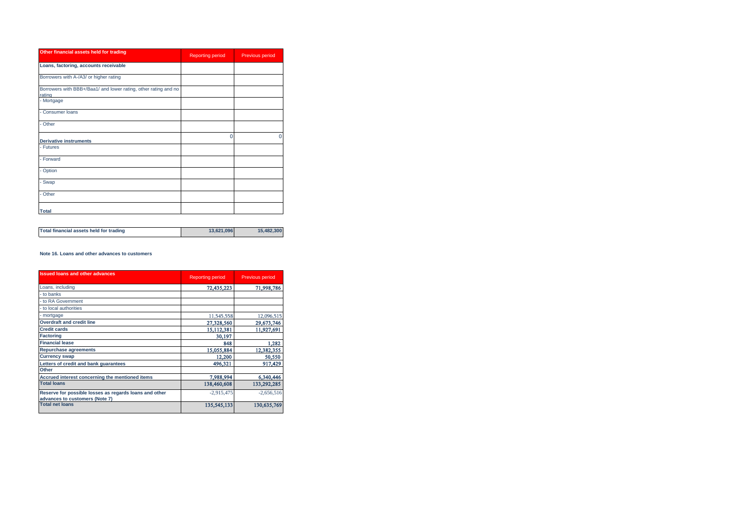| Other financial assets held for trading                                   | <b>Reporting period</b> | Previous period |
|---------------------------------------------------------------------------|-------------------------|-----------------|
| Loans, factoring, accounts receivable                                     |                         |                 |
| Borrowers with A-/A3/ or higher rating                                    |                         |                 |
| Borrowers with BBB+/Baa1/ and lower rating, other rating and no<br>rating |                         |                 |
| - Mortgage                                                                |                         |                 |
| - Consumer loans                                                          |                         |                 |
| - Other                                                                   |                         |                 |
| <b>Derivative instruments</b>                                             | $\Omega$                | O               |
| - Futures                                                                 |                         |                 |
| - Forward                                                                 |                         |                 |
| - Option                                                                  |                         |                 |
| - Swap                                                                    |                         |                 |
| - Other                                                                   |                         |                 |
| <b>Total</b>                                                              |                         |                 |

| Total financial assets held for trading | 13.621.096 | 15.482.300 |
|-----------------------------------------|------------|------------|
|-----------------------------------------|------------|------------|

#### **Note 16. Loans and other advances to customers**

| <b>Issued loans and other advances</b>                                                   | <b>Reporting period</b> | <b>Previous period</b> |
|------------------------------------------------------------------------------------------|-------------------------|------------------------|
| Loans, including                                                                         | 72,435,223              | 71,998,786             |
| - to banks                                                                               |                         |                        |
| - to RA Government                                                                       |                         |                        |
| - to local authorities                                                                   |                         |                        |
| - mortgage                                                                               | 11,545,558              | 12,096,515             |
| <b>Overdraft and credit line</b>                                                         | 27,328,560              | 29,673,746             |
| <b>Credit cards</b>                                                                      | 15,112,381              | 11,927,691             |
| <b>Factoring</b>                                                                         | 30,197                  |                        |
| <b>Financial lease</b>                                                                   | 848                     | 1,282                  |
| <b>Repurchase agreements</b>                                                             | 15,055,884              | 12,382,355             |
| <b>Currency swap</b>                                                                     | 12,200                  | 50,550                 |
| Letters of credit and bank guarantees<br>Other                                           | 496,321                 | 917.429                |
| Accrued interest concerning the mentioned items                                          | 7.988.994               | 6,340,446              |
| <b>Total loans</b>                                                                       | 138,460,608             | 133,292,285            |
| Reserve for possible losses as regards loans and other<br>advances to customers (Note 7) | $-2.915.475$            | $-2,656,516$           |
| <b>Total net loans</b>                                                                   | 135,545,133             | 130,635,769            |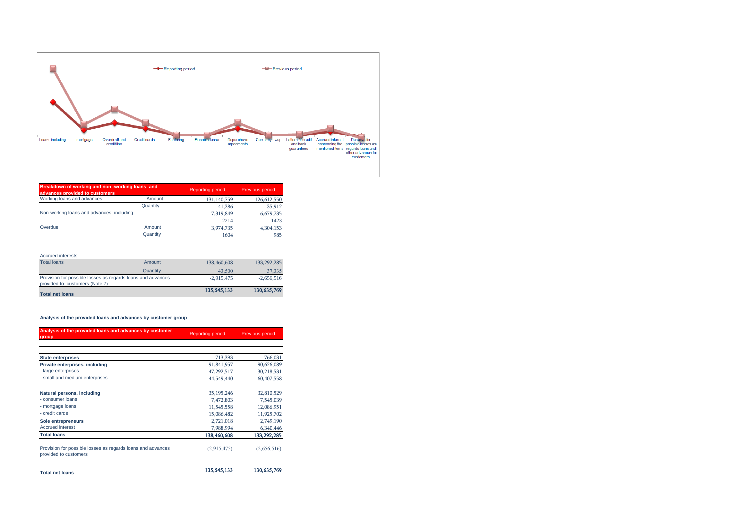

| Breakdown of working and non-working loans and<br>advances provided to customers              |          | <b>Reporting period</b> | <b>Previous period</b> |
|-----------------------------------------------------------------------------------------------|----------|-------------------------|------------------------|
| Working loans and advances                                                                    | Amount   | 131,140,759             | 126,612,550            |
|                                                                                               | Quantity | 41.286                  | 35,912                 |
| Non-working loans and advances, including                                                     |          | 7,319,849               | 6,679,735              |
|                                                                                               |          | 2214                    | 1423                   |
| Overdue                                                                                       | Amount   | 3,974,735               | 4,304,153              |
|                                                                                               | Quantity | 1604                    | 985                    |
| <b>Accrued interests</b>                                                                      |          |                         |                        |
| <b>Total loans</b>                                                                            | Amount   | 138,460,608             | 133,292,285            |
|                                                                                               | Quantity | 43.500                  | 37.335                 |
| Provision for possible losses as regards loans and advances<br>provided to customers (Note 7) |          | $-2.915.475$            | $-2,656,516$           |
| <b>Total net loans</b>                                                                        |          | 135,545,133             | 130,635,769            |

## **Analysis of the provided loans and advances by customer group**

| Analysis of the provided loans and advances by customer<br>group                     | <b>Reporting period</b> | <b>Previous period</b> |
|--------------------------------------------------------------------------------------|-------------------------|------------------------|
|                                                                                      |                         |                        |
|                                                                                      |                         |                        |
| <b>State enterprises</b>                                                             | 713,393                 | 766,031                |
| Private enterprises, including                                                       | 91,841,957              | 90,626,089             |
| large enterprises                                                                    | 47,292,517              | 30,218,531             |
| small and medium enterprises                                                         | 44,549,440              | 60,407,558             |
| Natural persons, including                                                           | 35, 195, 246            | 32,810,529             |
| consumer loans                                                                       | 7,472,803               | 7,545,039              |
| mortgage loans                                                                       | 11,545,558              | 12,086,951             |
| credit cards                                                                         | 15,086,482              | 11,925,702             |
| Sole entrepreneurs                                                                   | 2,721,018               | 2,749,190              |
| <b>Accrued interest</b>                                                              | 7,988,994               | 6,340,446              |
| <b>Total loans</b>                                                                   | 138,460,608             | 133,292,285            |
| Provision for possible losses as regards loans and advances<br>provided to customers | (2,915,475)             | (2,656,516)            |
| <b>Total net loans</b>                                                               | 135,545,133             | 130,635,769            |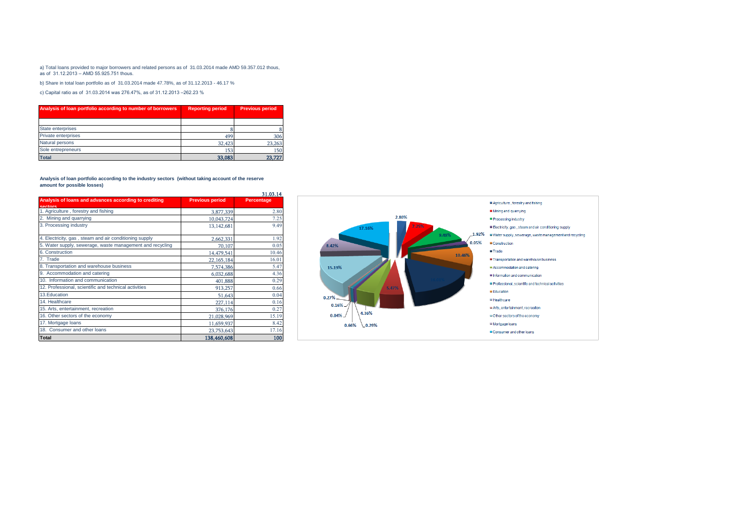#### a) Total loans provided to major borrowers and related persons as of 31.03.2014 made AMD 59.357.012 thous, as of 31.12.2013 – AMD 55.925.751 thous.

b) Share in total loan portfolio as of 31.03.2014 made 47.78%, as of 31.12.2013 - 46.17 %

c) Capital ratio as of 31.03.2014 was 276.47%, as of 31.12.2013 –262.23 %

| Analysis of loan portfolio according to number of borrowers | <b>Reporting period</b> | <b>Previous period</b> |
|-------------------------------------------------------------|-------------------------|------------------------|
|                                                             |                         |                        |
| State enterprises                                           |                         |                        |
| Private enterprises                                         | 499                     | 306                    |
| Natural persons                                             | 32,423                  | 23,263                 |
| Sole entrepreneurs                                          | 153                     | 150                    |
| <b>Total</b>                                                | 33,083                  | 23.727                 |

#### **Analysis of loan portfolio according to the industry sectors (without taking account of the reserve amount for possible losses)**

|                                                           |                        | 31.03.14   |
|-----------------------------------------------------------|------------------------|------------|
| Analysis of loans and advances according to crediting     | <b>Previous period</b> | Percentage |
| sectors                                                   |                        |            |
| 1. Agriculture, forestry and fishing                      | 3,877,339              | 2.80       |
| 2. Mining and quarrying                                   | 10,043,724             | 7.25       |
| 3. Processing industry                                    | 13, 142, 681           | 9.49       |
| 4. Electricity, gas, steam and air conditioning supply    | 2,662,331              | 1.92       |
| 5. Water supply, sewerage, waste management and recycling | 70,107                 | 0.05       |
| 6. Construction                                           | 14,479,541             | 10.46      |
| 7. Trade                                                  | 22,165,184             | 16.01      |
| 8. Transportation and warehouse business                  | 7,574,386              | 5.47       |
| 9. Accommodation and catering                             | 6,032,688              | 4.36       |
| 10. Information and communication                         | 401,888                | 0.29       |
| 12. Professional, scientific and technical activities     | 913,257                | 0.66       |
| 13. Education                                             | 51.643                 | 0.04       |
| 14. Healthcare                                            | 227,114                | 0.16       |
| 15. Arts, entertainment, recreation                       | 376,176                | 0.27       |
| 16. Other sectors of the economy                          | 21,028,969             | 15.19      |
| 17. Mortgage loans                                        | 11,659,937             | 8.42       |
| 18. Consumer and other loans                              | 23,753,643             | 17.16      |
| <b>Total</b>                                              | 138,460,608            | 100        |

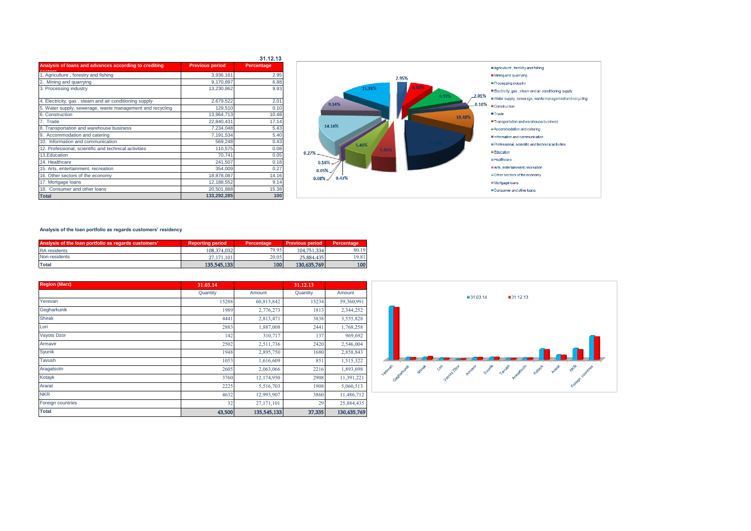|                                                           |                        | 31.12.13   |
|-----------------------------------------------------------|------------------------|------------|
| Analysis of loans and advances according to crediting     | <b>Previous period</b> | Percentage |
| 1. Agriculture, forestry and fishing                      | 3,936,161              | 2.95       |
| 2. Mining and quarrying                                   | 9,170,897              | 6.88       |
| 3. Processing industry                                    | 13,230,862             | 9.93       |
| 4. Electricity, gas, steam and air conditioning supply    | 2,679,522              | 2.01       |
| 5. Water supply, sewerage, waste management and recycling | 129,510                | 0.10       |
| 6. Construction                                           | 13,964,713             | 10.48      |
| 7. Trade                                                  | 22,840,431             | 17.14      |
| 8. Transportation and warehouse business                  | 7,234,048              | 5.43       |
| 9. Accommodation and catering                             | 7,191,534              | 5.40       |
| 10. Information and communication                         | 569,248                | 0.43       |
| 12. Professional, scientific and technical activities     | 110,575                | 0.08       |
| 13.Education                                              | 70,741                 | 0.05       |
| 14. Healthcare                                            | 241.507                | 0.18       |
| 15. Arts, entertainment, recreation                       | 354,009                | 0.27       |
| 16. Other sectors of the economy                          | 18,878,087             | 14.16      |
| 17. Mortgage loans                                        | 12,188,552             | 9.14       |
| 18. Consumer and other loans                              | 20,501,888             | 15.38      |
| <b>Total</b>                                              | 133,292,285            | 100        |



#### **Analysis of the loan portfolio as regards customers' residency**

| Analysis of the loan portfolio as regards customers' | <b>Reporting period</b> | Percentage | <b>Previous period</b> | Percentage |
|------------------------------------------------------|-------------------------|------------|------------------------|------------|
| <b>RA</b> residents                                  | 108.374.032             | 79.95      | 104.751.334            | 80.19      |
| Non-residents                                        | 27,171,101              | 20.05      | 25,884,435             | 19.81      |
| <b>Total</b>                                         | 135,545,133             | 100        | 130,635,769            | 100        |

| <b>Region (Marz)</b> | 31.03.14 |             | 31.12.13 |             |
|----------------------|----------|-------------|----------|-------------|
|                      | Quantity | Amount      | Quantity | Amount      |
| Yerevan              | 15288    | 60,813,842  | 13234    | 59,360,991  |
| Gegharkunik          | 1989     | 2,776,273   | 1813     | 2,344,252   |
| <b>Shirak</b>        | 4441     | 2,813,471   | 3838     | 3,555,828   |
| Lori                 | 2883     | 1,887,008   | 2441     | 1,768,258   |
| Vayots Dzor          | 142      | 310,717     | 137      | 969,692     |
| Armavir              | 2502     | 2,511,736   | 2420     | 2,546,004   |
| Syunik               | 1948     | 2,895,750   | 1680     | 2,858,843   |
| Tavush               | 1053     | 1,616,609   | 851      | 1,515,322   |
| Aragatsotn           | 2605     | 2,063,066   | 2216     | 1,893,698   |
| Kotayk               | 3760     | 12,174,950  | 2908     | 11,391,221  |
| Ararat               | 2225     | 5,516,703   | 1908     | 5,060,513   |
| <b>NKR</b>           | 4632     | 12,993,907  | 3860     | 11,486,712  |
| Foreign countries    | 32       | 27,171,101  | 29       | 25,884,435  |
| <b>Total</b>         | 43,500   | 135,545,133 | 37,335   | 130,635,769 |

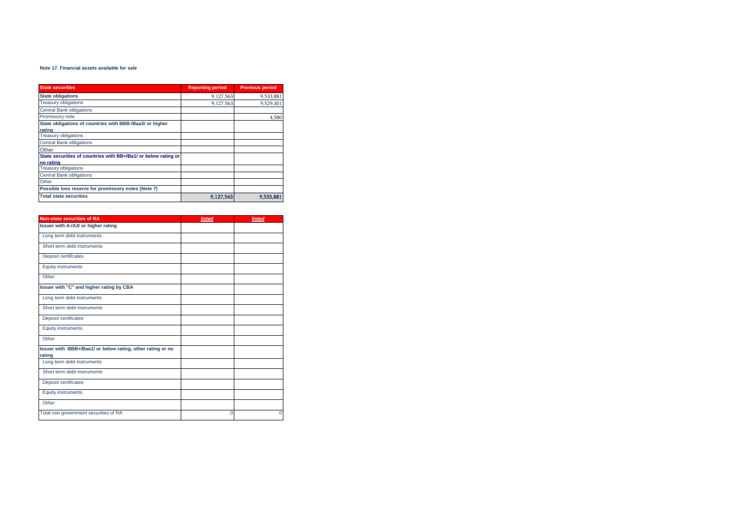#### **Note 17. Financial assets available for sale**

| <b>State securities</b>                                        | <b>Reporting period</b> | <b>Previous period</b> |
|----------------------------------------------------------------|-------------------------|------------------------|
| <b>State obligations</b>                                       | 9,127,563               | 9,533,881              |
| <b>Treasury obligations</b>                                    | 9.127.563               | 9.529.301              |
| <b>Central Bank obligations</b>                                |                         |                        |
| Promissory note                                                |                         | 4,580                  |
| State obligations of countries with BBB-/Baa3/ or higher       |                         |                        |
| rating                                                         |                         |                        |
| <b>Treasury obligations</b>                                    |                         |                        |
| <b>Central Bank obligations</b>                                |                         |                        |
| Other                                                          |                         |                        |
| State securities of countries with BB+/Ba1/ or below rating or |                         |                        |
| no rating                                                      |                         |                        |
| <b>Treasury obligations</b>                                    |                         |                        |
| <b>Central Bank obligations</b>                                |                         |                        |
| Other                                                          |                         |                        |
| Possible loss reserve for promissory notes (Note 7)            |                         |                        |
| <b>Total state securities</b>                                  | 9,127,563               | 9,533,881              |

| <b>Non-state securities of RA</b>                          | listed | listed |
|------------------------------------------------------------|--------|--------|
| Issuer with A-/A3/ or higher rating                        |        |        |
| Long term debt instruments                                 |        |        |
| Short term debt instruments                                |        |        |
| Deposit certificates                                       |        |        |
| <b>Equity instruments</b>                                  |        |        |
| Other                                                      |        |        |
| Issuer with "C" and higher rating by CBA                   |        |        |
| Long term debt instruments                                 |        |        |
| Short term debt instruments                                |        |        |
| Deposit certificates                                       |        |        |
| <b>Equity instruments</b>                                  |        |        |
| Other                                                      |        |        |
| Issuer with BBB+/Baa1/ or below rating, other rating or no |        |        |
| rating                                                     |        |        |
| Long term debt instruments                                 |        |        |
| Short term debt instruments                                |        |        |
| Deposit certificates                                       |        |        |
| <b>Equity instruments</b>                                  |        |        |
| Other                                                      |        |        |
| Total non government securities of RA                      | 0      | 0      |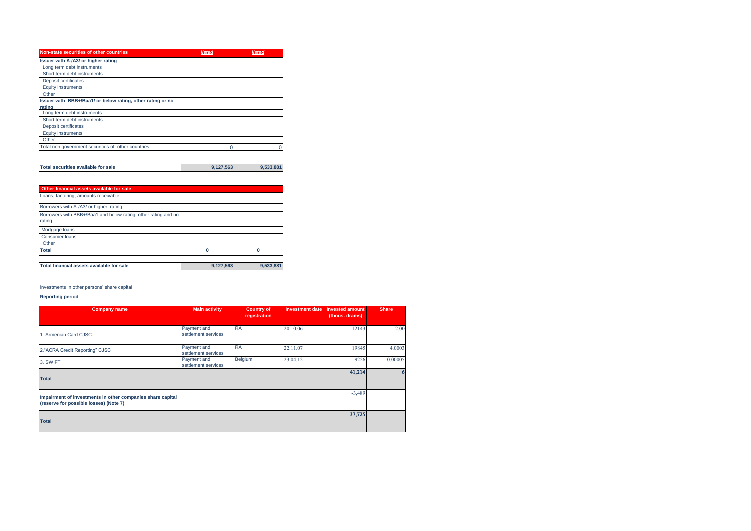| Non-state securities of other countries                    | listed | listed |
|------------------------------------------------------------|--------|--------|
| Issuer with A-/A3/ or higher rating                        |        |        |
| Long term debt instruments                                 |        |        |
| Short term debt instruments                                |        |        |
| Deposit certificates                                       |        |        |
| <b>Equity instruments</b>                                  |        |        |
| Other                                                      |        |        |
| Issuer with BBB+/Baa1/ or below rating, other rating or no |        |        |
| rating                                                     |        |        |
| Long term debt instruments                                 |        |        |
| Short term debt instruments                                |        |        |
| Deposit certificates                                       |        |        |
| <b>Equity instruments</b>                                  |        |        |
| Other                                                      |        |        |
| Total non government securities of other countries         |        |        |

| Total securities available for sale | 9.127.563 | 9.533.881 |
|-------------------------------------|-----------|-----------|

| Other financial assets available for sale                                |           |           |
|--------------------------------------------------------------------------|-----------|-----------|
| Loans, factoring, amounts receivable                                     |           |           |
| Borrowers with A-/A3/ or higher rating                                   |           |           |
| Borrowers with BBB+/Baa1 and below rating, other rating and no<br>rating |           |           |
| Mortgage loans                                                           |           |           |
| <b>Consumer loans</b>                                                    |           |           |
| Other                                                                    |           |           |
| Total                                                                    | ŋ         | O         |
| Total financial assets available for sale                                | 9,127,563 | 9,533,881 |

Investments in other persons' share capital

#### **Reporting period**

| <b>Company name</b>                                                                                  | <b>Main activity</b>               | <b>Country of</b><br>registration | <b>Investment date</b> | <b>Invested amount</b><br>(thous. drams) | <b>Share</b> |
|------------------------------------------------------------------------------------------------------|------------------------------------|-----------------------------------|------------------------|------------------------------------------|--------------|
| 1. Armenian Card CJSC                                                                                | Payment and<br>settlement services | <b>RA</b>                         | 20.10.06               | 12143                                    | 2.00         |
| 2. "ACRA Credit Reporting" CJSC                                                                      | Payment and<br>settlement services | <b>RA</b>                         | 22.11.07               | 19845                                    | 4.0003       |
| 3. SWIFT                                                                                             | Payment and<br>settlement services | Belgium                           | 23.04.12               | 9226                                     | 0.00005      |
| <b>Total</b>                                                                                         |                                    |                                   |                        | 41,214                                   | 6            |
| Impairment of investments in other companies share capital<br>(reserve for possible losses) (Note 7) |                                    |                                   |                        | $-3,489$                                 |              |
| <b>Total</b>                                                                                         |                                    |                                   |                        | 37,725                                   |              |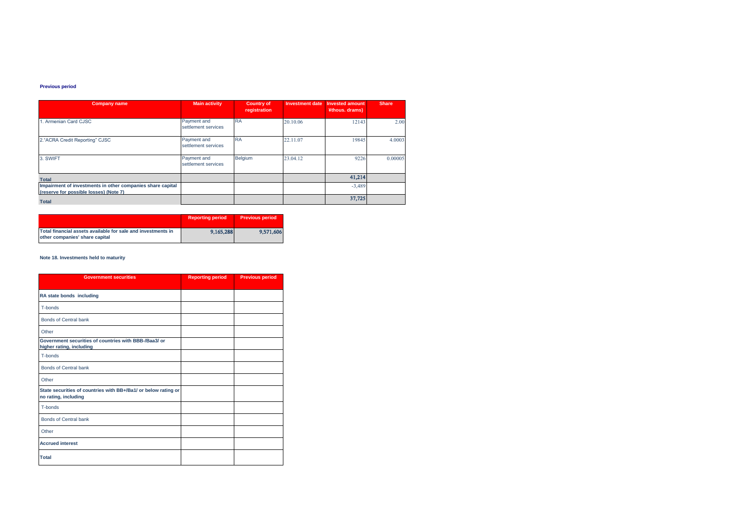#### **Previous period**

| <b>Company name</b>                                                                                  | <b>Main activity</b>               | <b>Country of</b><br>registration | <b>Investment date</b> | <b>Invested amount</b><br>¥thous. drams) | <b>Share</b> |
|------------------------------------------------------------------------------------------------------|------------------------------------|-----------------------------------|------------------------|------------------------------------------|--------------|
| 1. Armenian Card CJSC                                                                                | Payment and<br>settlement services | <b>RA</b>                         | 20.10.06               | 12143                                    | 2.00         |
| 2."ACRA Credit Reporting" CJSC                                                                       | Payment and<br>settlement services | <b>RA</b>                         | 22.11.07               | 19845                                    | 4.0003       |
| 3. SWIFT                                                                                             | Payment and<br>settlement services | Belgium                           | 23.04.12               | 9226                                     | 0.00005      |
| <b>Total</b>                                                                                         |                                    |                                   |                        | 41,214                                   |              |
| Impairment of investments in other companies share capital<br>(reserve for possible losses) (Note 7) |                                    |                                   |                        | $-3,489$                                 |              |
| <b>Total</b>                                                                                         |                                    |                                   |                        | 37,725                                   |              |

|                                                                                                | <b>Reporting period</b> | <b>Previous period</b> |
|------------------------------------------------------------------------------------------------|-------------------------|------------------------|
| Total financial assets available for sale and investments in<br>other companies' share capital | 9.165.288               | 9.571,606              |

## **Note 18. Investments held to maturity**

| <b>Government securities</b>                                                           | <b>Reporting period</b> | <b>Previous period</b> |
|----------------------------------------------------------------------------------------|-------------------------|------------------------|
| RA state bonds including                                                               |                         |                        |
| T-bonds                                                                                |                         |                        |
| Bonds of Central bank                                                                  |                         |                        |
| Other                                                                                  |                         |                        |
| Government securities of countries with BBB-/Baa3/ or<br>higher rating, including      |                         |                        |
| T-bonds                                                                                |                         |                        |
| <b>Bonds of Central bank</b>                                                           |                         |                        |
| Other                                                                                  |                         |                        |
| State securities of countries with BB+/Ba1/ or below rating or<br>no rating, including |                         |                        |
| T-bonds                                                                                |                         |                        |
| <b>Bonds of Central bank</b>                                                           |                         |                        |
| Other                                                                                  |                         |                        |
| <b>Accrued interest</b>                                                                |                         |                        |
| Total                                                                                  |                         |                        |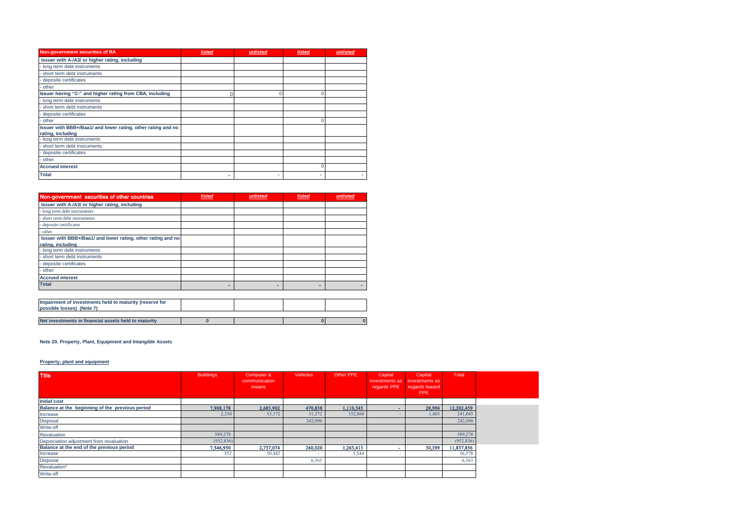| Non-government securities of RA                              | <b>listed</b> | unlisted | <b>listed</b> | unlisted |
|--------------------------------------------------------------|---------------|----------|---------------|----------|
| Issuer with A-/A3/ or higher rating, including               |               |          |               |          |
| long term debt instruments                                   |               |          |               |          |
| short term debt instruments                                  |               |          |               |          |
| deposite certificates                                        |               |          |               |          |
| other                                                        |               |          |               |          |
| Issuer having "C-" and higher rating from CBA, including     |               |          |               |          |
| long term debt instruments                                   |               |          |               |          |
| short term debt instruments                                  |               |          |               |          |
| deposite certificates                                        |               |          |               |          |
| other                                                        |               |          |               |          |
| Issuer with BBB+/Baa1/ and lower rating, other rating and no |               |          |               |          |
| rating, including                                            |               |          |               |          |
| long term debt instruments                                   |               |          |               |          |
| short term debt instruments                                  |               |          |               |          |
| deposite certificates                                        |               |          |               |          |
| other                                                        |               |          |               |          |
| <b>Accrued interest</b>                                      |               |          |               |          |
| <b>Total</b>                                                 | ۰             |          | ۰             |          |

| Non-government securities of other countries                                         | <b>listed</b> | unlisted | <b>listed</b> | unlisted |
|--------------------------------------------------------------------------------------|---------------|----------|---------------|----------|
| Issuer with A-/A3/ or higher rating, including                                       |               |          |               |          |
| long term debt instruments                                                           |               |          |               |          |
| short term debt instruments                                                          |               |          |               |          |
| deposite certificates                                                                |               |          |               |          |
| other                                                                                |               |          |               |          |
| Issuer with BBB+/Baa1/ and lower rating, other rating and no<br>rating, including    |               |          |               |          |
| long term debt instruments                                                           |               |          |               |          |
| short term debt instruments                                                          |               |          |               |          |
| deposite certificates                                                                |               |          |               |          |
| other                                                                                |               |          |               |          |
| <b>Accrued interest</b>                                                              |               |          |               |          |
| <b>Total</b>                                                                         |               | -        |               |          |
|                                                                                      |               |          |               |          |
| Impairment of investments held to maturity (reserve for<br>possible losses) (Note 7) |               |          |               |          |

| Net investments in financial assets held to maturity |  |  |
|------------------------------------------------------|--|--|

## **Note 20. Property, Plant, Equipment and Intangible Assets**

# **Property, plant and equipment**

| <b>Title</b>                                    | <b>Buildings</b> | Computer &<br>communication | <b>Vehicles</b> | Other PPE | Capital<br>investments as<br>regards PPE | Capital<br>investments as | Total      |  |
|-------------------------------------------------|------------------|-----------------------------|-----------------|-----------|------------------------------------------|---------------------------|------------|--|
|                                                 |                  | means                       |                 |           |                                          | regards leased<br>PPE     |            |  |
| <b>Initial cost</b>                             |                  |                             |                 |           |                                          |                           |            |  |
| Balance at the beginning of the previous period | 7,908,178        | 2,683,902                   | 470,838         | 1,110,545 |                                          | 28,996                    | 12,202,459 |  |
| Increase                                        | 2,330            | 53,172                      | 31,272          | 152,868   |                                          | 1,403                     | 241,045    |  |
| <b>Disposal</b>                                 |                  |                             | 242,090         |           |                                          |                           | 242,090    |  |
| Write-off                                       |                  |                             |                 |           |                                          |                           |            |  |
| Revaluation                                     | 589,278          |                             |                 |           |                                          |                           | 589,278    |  |
| Depreciation adjustment from revaluation        | (952, 836)       |                             |                 |           |                                          |                           | (952, 836) |  |
| Balance at the end of the previous period       | 7.546.950        | 2,737,074                   | 260,020         | 1.263.413 |                                          | 30,399                    | 11,837,856 |  |
| Increase                                        | 552              | 50,482                      |                 | 5,544     |                                          |                           | 56,578     |  |
| <b>Disposal</b>                                 |                  |                             | 6,363           |           |                                          |                           | 6,363      |  |
| Revaluation*                                    |                  |                             |                 |           |                                          |                           |            |  |
| Write-off                                       |                  |                             |                 |           |                                          |                           |            |  |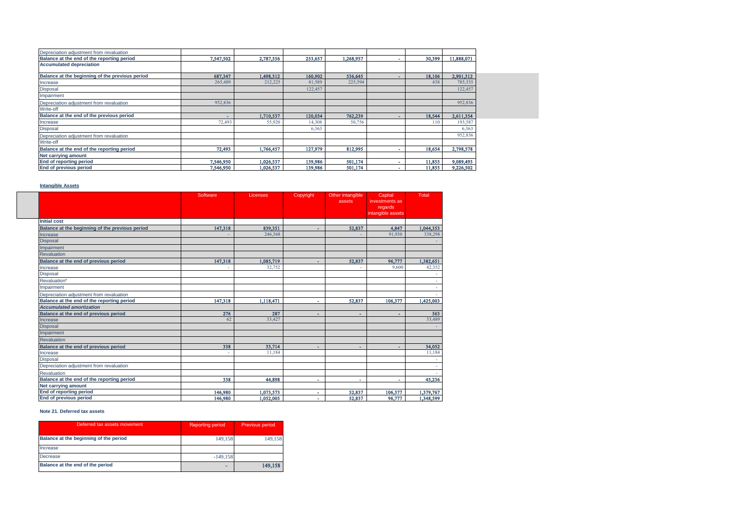| Depreciation adjustment from revaluation        |           |           |         |           |        |            |
|-------------------------------------------------|-----------|-----------|---------|-----------|--------|------------|
| Balance at the end of the reporting period      | 7,547,502 | 2,787,556 | 253,657 | 1.268.957 | 30,399 | 11,888,071 |
| <b>Accumulated depreciation</b>                 |           |           |         |           |        |            |
| Balance at the beginning of the previous period | 687,347   | 1,498,312 | 160,902 | 536,645   | 18,106 | 2,901,312  |
| Increase                                        | 265,489   | 212,225   | 81,589  | 225,594   | 438    | 785,335    |
| <b>Disposal</b>                                 |           |           | 122,457 |           |        | 122,457    |
| Impairment                                      |           |           |         |           |        |            |
| Depreciation adjustment from revaluation        | 952,836   |           |         |           |        | 952,836    |
| Write-off                                       |           |           |         |           |        |            |
| Balance at the end of the previous period       | -         | 1,710,537 | 120,034 | 762,239   | 18,544 | 2,611,354  |
| Increase                                        | 72,493    | 55,920    | 14,308  | 50,756    | 110    | 193,587    |
| <b>Disposal</b>                                 |           |           | 6,363   |           |        | 6,363      |
| Depreciation adjustment from revaluation        |           |           |         |           |        | 952,836    |
| Write-off                                       |           |           |         |           |        |            |
| Balance at the end of the reporting period      | 72,493    | 1,766,457 | 127,979 | 812,995   | 18,654 | 2,798,578  |
| Net carrying amount                             |           |           |         |           |        |            |
| End of reporting period                         | 7,546,950 | 1,026,537 | 139,986 | 501,174   | 11,855 | 9,089,493  |
| End of previous period                          | 7,546,950 | 1,026,537 | 139.986 | 501,174   | 11,855 | 9,226,502  |

# **Intangible Assets**

|                                                 | Software | Licenses  | Copyright | Other intangible<br>assets | Capital<br>investments as<br>regards<br>intangible assets | Total     |
|-------------------------------------------------|----------|-----------|-----------|----------------------------|-----------------------------------------------------------|-----------|
| <b>Initial cost</b>                             |          |           |           |                            |                                                           |           |
| Balance at the beginning of the previous period | 147,318  | 839,351   |           | 52,837                     | 4,847                                                     | 1,044,353 |
| Increase                                        |          | 246,368   |           |                            | 91.930                                                    | 338.298   |
| <b>Disposal</b>                                 |          |           |           |                            |                                                           |           |
| Impairment                                      |          |           |           |                            |                                                           |           |
| <b>Revaluation</b>                              |          |           |           |                            |                                                           |           |
| Balance at the end of previous period           | 147,318  | 1,085,719 | ٠         | 52,837                     | 96,777                                                    | 1,382,651 |
| Increase                                        |          | 32,752    |           |                            | 9,600                                                     | 42,352    |
| <b>Disposal</b>                                 |          |           |           |                            |                                                           |           |
| Revaluation*                                    |          |           |           |                            |                                                           |           |
| Impairment                                      |          |           |           |                            |                                                           |           |
| Depreciation adjustment from revaluation        |          |           |           |                            |                                                           |           |
| Balance at the end of the reporting period      | 147,318  | 1,118,471 | ä,        | 52,837                     | 106,377                                                   | 1,425,003 |
| <b>Accumulated amortization</b>                 |          |           |           |                            |                                                           |           |
| Balance at the end of previous period           | 276      | 287       | ۰         | ٠                          | ٠                                                         | 563       |
| Increase                                        | 62       | 33,427    |           |                            |                                                           | 33,489    |
| <b>Disposal</b>                                 |          |           |           |                            |                                                           |           |
| Impairment                                      |          |           |           |                            |                                                           |           |
| Revaluation                                     |          |           |           |                            |                                                           |           |
| Balance at the end of previous period           | 338      | 33.714    | ۰         |                            | ٠                                                         | 34,052    |
| Increase                                        |          | 11.184    |           |                            |                                                           | 11.184    |
| <b>Disposal</b>                                 |          |           |           |                            |                                                           |           |
| Depreciation adjustment from revaluation        |          |           |           |                            |                                                           |           |
| Revaluation                                     |          |           |           |                            |                                                           |           |
| Balance at the end of the reporting period      | 338      | 44.898    | ٠         | ×.                         | ×.                                                        | 45,236    |
| Net carrying amount                             |          |           |           |                            |                                                           |           |
| End of reporting period                         | 146,980  | 1,073,573 | ۰         | 52,837                     | 106,377                                                   | 1,379,767 |
| End of previous period                          | 146,980  | 1,052,005 | ٠         | 52,837                     | 96,777                                                    | 1,348,599 |

## **Note 21. Deferred tax assets**

| Deferred tax assets movement           | <b>Reporting period</b> | Previous period |
|----------------------------------------|-------------------------|-----------------|
| Balance at the beginning of the period | 149,158                 | 149.158         |
| Increase                               |                         |                 |
| Decrease                               | $-149.158$              |                 |
| Balance at the end of the period       | -                       | 149.158         |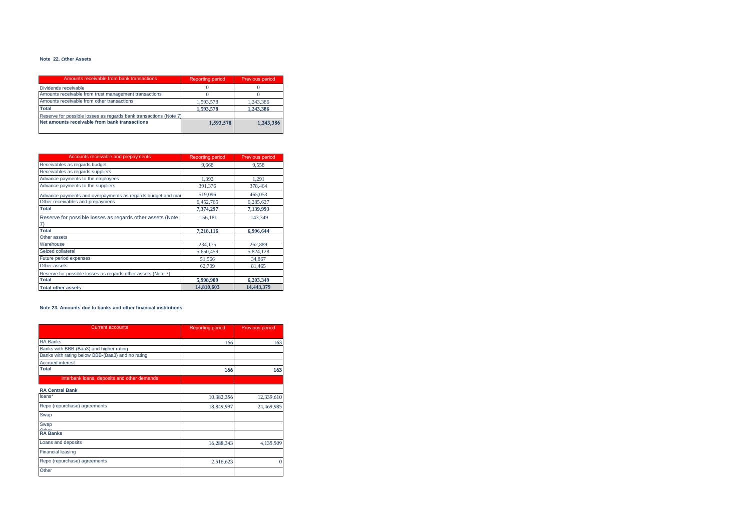#### **Note 22.** Օ**ther Assets**

| Amounts receivable from bank transactions                         | <b>Reporting period</b> | Previous period |
|-------------------------------------------------------------------|-------------------------|-----------------|
| Dividends receivable                                              |                         |                 |
| Amounts receivable from trust management transactions             |                         |                 |
| Amounts receivable from other transactions                        | 1.593.578               | 1.243.386       |
| <b>Total</b>                                                      | 1.593.578               | 1.243.386       |
| Reserve for possible losses as regards bank transactions (Note 7) |                         |                 |
| Net amounts receivable from bank transactions                     | 1,593,578               | 1.243.386       |

| <b>Accounts receivable and prepayments</b>                   | <b>Reporting period</b> | <b>Previous period</b> |
|--------------------------------------------------------------|-------------------------|------------------------|
| Receivables as regards budget                                | 9,668                   | 9,558                  |
| Receivables as regards suppliers                             |                         |                        |
| Advance payments to the employees                            | 1.392                   | 1.291                  |
| Advance payments to the suppliers                            | 391,376                 | 378,464                |
| Advance payments and overpayments as regards budget and mai  | 519,096                 | 465,053                |
| Other receivables and prepaymens                             | 6,452,765               | 6.285.627              |
| <b>Total</b>                                                 | 7,374,297               | 7,139,993              |
| Reserve for possible losses as regards other assets (Note    | $-156,181$              | $-143.349$             |
| 7)                                                           |                         |                        |
| <b>Total</b>                                                 | 7,218,116               | 6,996,644              |
| Other assets                                                 |                         |                        |
| Warehouse                                                    | 234,175                 | 262,889                |
| Seized collateral                                            | 5.650.459               | 5.824.128              |
| Future period expenses                                       | 51.566                  | 34,867                 |
| Other assets                                                 | 62,709                  | 81.465                 |
| Reserve for possible losses as regards other assets (Note 7) |                         |                        |
| <b>Total</b>                                                 | 5,998,909               | 6,203,349              |
| <b>Total other assets</b>                                    | 14,810,603              | 14.443.379             |

#### **Note 23. Amounts due to banks and other financial institutions**

| <b>Current accounts</b>                          | <b>Reporting period</b> | Previous period |
|--------------------------------------------------|-------------------------|-----------------|
| <b>RA Banks</b>                                  | 166                     | 163             |
| Banks with BBB-(Baa3) and higher rating          |                         |                 |
| Banks with rating below BBB-(Baa3) and no rating |                         |                 |
| <b>Accrued interest</b>                          |                         |                 |
| <b>Total</b>                                     | 166                     | 163             |
| Interbank loans, deposits and other demands      |                         |                 |
| <b>RA Central Bank</b>                           |                         |                 |
| loans*                                           | 10,382,356              | 12,339,610      |
| Repo (repurchase) agreements                     | 18,849,997              | 24,469,985      |
| Swap                                             |                         |                 |
| Swap                                             |                         |                 |
| <b>RA Banks</b>                                  |                         |                 |
| Loans and deposits                               | 16,288,343              | 4,135,509       |
| <b>Financial leasing</b>                         |                         |                 |
| Repo (repurchase) agreements                     | 2,516,623               |                 |
| Other                                            |                         |                 |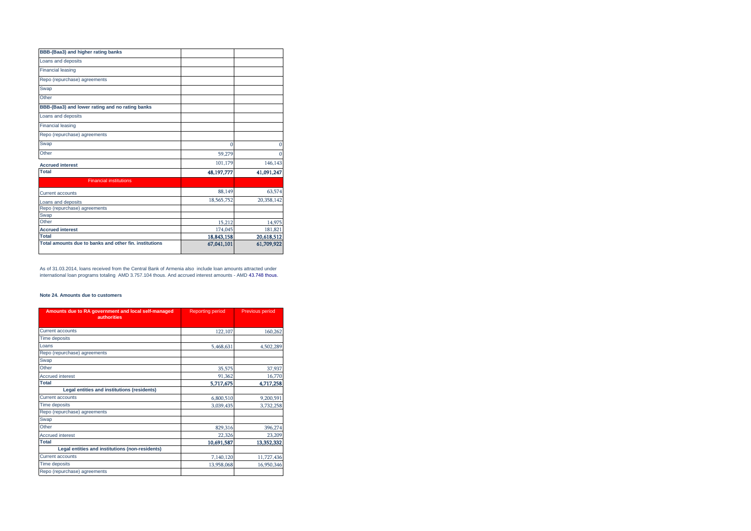| <b>BBB-(Baa3) and higher rating banks</b>              |            |            |
|--------------------------------------------------------|------------|------------|
| Loans and deposits                                     |            |            |
| <b>Financial leasing</b>                               |            |            |
| Repo (repurchase) agreements                           |            |            |
| Swap                                                   |            |            |
| Other                                                  |            |            |
| BBB-(Baa3) and lower rating and no rating banks        |            |            |
| Loans and deposits                                     |            |            |
| <b>Financial leasing</b>                               |            |            |
| Repo (repurchase) agreements                           |            |            |
| Swap                                                   | 0          | 0          |
| Other                                                  | 59,279     | $\Omega$   |
| <b>Accrued interest</b>                                | 101,179    | 146,143    |
| <b>Total</b>                                           | 48,197,777 | 41,091,247 |
| <b>Financial institutions</b>                          |            |            |
| <b>Current accounts</b>                                | 88,149     | 63,574     |
| Loans and deposits                                     | 18,565,752 | 20,358,142 |
| Repo (repurchase) agreements                           |            |            |
| Swap                                                   |            |            |
| Other                                                  | 15,212     | 14,975     |
| <b>Accrued interest</b>                                | 174,045    | 181,821    |
| Total                                                  | 18,843,158 | 20,618,512 |
| Total amounts due to banks and other fin, institutions | 67,041,101 | 61,709,922 |

As of 31.03.2014, loans received from the Central Bank of Armenia also include loan amounts attracted under international loan programs totaling AMD 3.757.104 thous. And accrued interest amounts - AMD 43.748 thous.

### **Note 24. Amounts due to customers**

| Amounts due to RA government and local self-managed<br><b>authorities</b> | <b>Reporting period</b> | <b>Previous period</b> |
|---------------------------------------------------------------------------|-------------------------|------------------------|
| <b>Current accounts</b>                                                   | 122,107                 | 160,262                |
| Time deposits                                                             |                         |                        |
| Loans                                                                     | 5,468,631               | 4,502,289              |
| Repo (repurchase) agreements                                              |                         |                        |
| Swap                                                                      |                         |                        |
| Other                                                                     | 35,575                  | 37,937                 |
| <b>Accrued interest</b>                                                   | 91,362                  | 16,770                 |
| <b>Total</b>                                                              | 5,717,675               | 4,717,258              |
| Legal entities and institutions (residents)                               |                         |                        |
| Current accounts                                                          | 6,800,510               | 9,200,591              |
| <b>Time deposits</b>                                                      | 3.039.435               | 3,732,258              |
| Repo (repurchase) agreements                                              |                         |                        |
| Swap                                                                      |                         |                        |
| Other                                                                     | 829,316                 | 396,274                |
| <b>Accrued interest</b>                                                   | 22,326                  | 23,209                 |
| <b>Total</b>                                                              | 10,691,587              | 13,352,332             |
| Legal entities and institutions (non-residents)                           |                         |                        |
| <b>Current accounts</b>                                                   | 7,140,120               | 11,727,436             |
| Time deposits                                                             | 13,958,068              | 16,950,346             |
| Repo (repurchase) agreements                                              |                         |                        |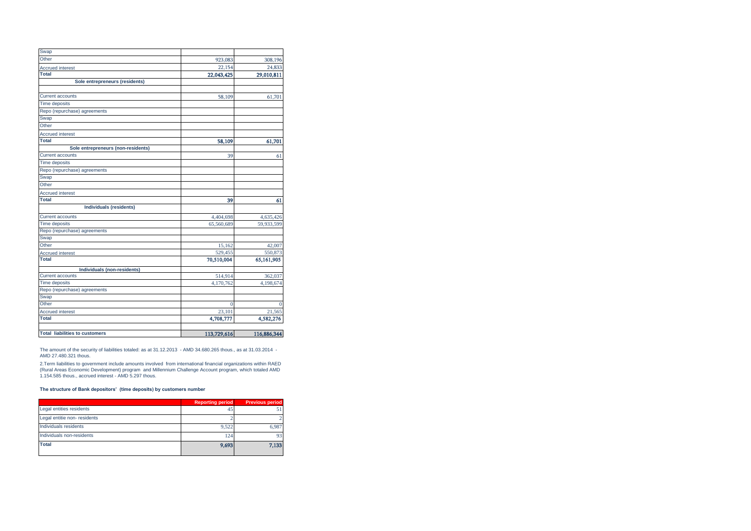| Swap                                  |             |             |
|---------------------------------------|-------------|-------------|
| Other                                 | 923,083     | 308,196     |
| <b>Accrued interest</b>               | 22,154      | 24,833      |
| Total                                 | 22,043,425  | 29,010,811  |
| Sole entrepreneurs (residents)        |             |             |
|                                       |             |             |
| <b>Current accounts</b>               | 58,109      | 61,701      |
| <b>Time deposits</b>                  |             |             |
| Repo (repurchase) agreements          |             |             |
| Swap                                  |             |             |
| Other                                 |             |             |
| <b>Accrued interest</b>               |             |             |
| <b>Total</b>                          | 58,109      | 61,701      |
| Sole entrepreneurs (non-residents)    |             |             |
| <b>Current accounts</b>               | 39          | 61          |
| <b>Time deposits</b>                  |             |             |
| Repo (repurchase) agreements          |             |             |
| Swap                                  |             |             |
| Other                                 |             |             |
| <b>Accrued interest</b>               |             |             |
| Total                                 | 39          | 61          |
| Individuals (residents)               |             |             |
| <b>Current accounts</b>               | 4,404,698   | 4,635,426   |
| Time deposits                         | 65,560,689  | 59,933,599  |
| Repo (repurchase) agreements          |             |             |
| Swap                                  |             |             |
| Other                                 | 15,162      | 42,007      |
| <b>Accrued interest</b>               | 529,455     | 550,873     |
| <b>Total</b>                          | 70,510,004  | 65,161,905  |
| Individuals (non-residents)           |             |             |
| <b>Current accounts</b>               | 514,914     | 362,037     |
| <b>Time deposits</b>                  | 4,170,762   | 4,198,674   |
| Repo (repurchase) agreements          |             |             |
| Swap                                  |             |             |
| Other                                 | 0           |             |
| <b>Accrued interest</b>               | 23,101      | 21,565      |
| <b>Total</b>                          | 4,708,777   | 4,582,276   |
|                                       |             |             |
| <b>Total liabilities to customers</b> | 113,729,616 | 116,886,344 |

The amount of the security of liabilities totaled: as at 31.12.2013 - AMD 34.680.265 thous., as at 31.03.2014 - AMD 27.480.321 thous.

2.Term liabilities to government include amounts involved from international financial organizations within RAED<br>(Rural Areas Economic Development) program and Millennium Challenge Account program, which totaled AMD<br>1.15

## **The structure of Bank depositors' (time deposits) by customers number**

|                             | <b>Reporting period</b> | <b>Previous period</b> |
|-----------------------------|-------------------------|------------------------|
| Legal entities residents    | 45                      |                        |
| Legal entitie non-residents |                         |                        |
| Individuals residents       | 9.522                   | 6.987                  |
| Individuals non-residents   | 124                     | 93                     |
| <b>Total</b>                | 9,693                   | 7,133                  |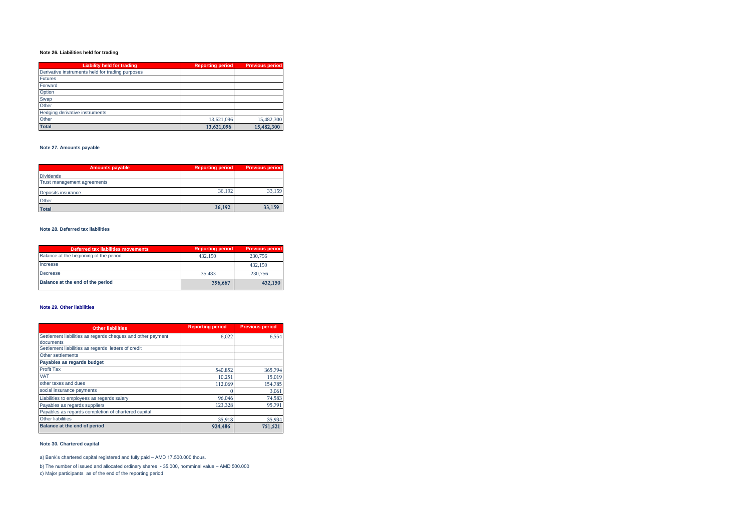# **Note 26. Liabilities held for trading**

| <b>Liability held for trading</b>                | <b>Reporting period</b> | <b>Previous period</b> |
|--------------------------------------------------|-------------------------|------------------------|
| Derivative instruments held for trading purposes |                         |                        |
| <b>Futures</b>                                   |                         |                        |
| Forward                                          |                         |                        |
| Option                                           |                         |                        |
| Swap                                             |                         |                        |
| Other                                            |                         |                        |
| Hedging derivative instruments                   |                         |                        |
| Other                                            | 13.621.096              | 15.482.300             |
| <b>Total</b>                                     | 13,621,096              | 15,482,300             |

# **Note 27. Amounts payable**

| <b>Amounts payable</b>      | <b>Reporting period</b> | <b>Previous period</b> |
|-----------------------------|-------------------------|------------------------|
| <b>Dividends</b>            |                         |                        |
| Trust management agreements |                         |                        |
| Deposits insurance          | 36.192                  | 33.159                 |
| Other                       |                         |                        |
| <b>Total</b>                | 36,192                  | 33,159                 |

# **Note 28. Deferred tax liabilities**

| <b>Deferred tax liabilities movements</b> | <b>Reporting period</b> | <b>Previous period</b> |
|-------------------------------------------|-------------------------|------------------------|
| Balance at the beginning of the period    | 432.150                 | 230,756                |
| Increase                                  |                         | 432,150                |
| Decrease                                  | $-35.483$               | $-230,756$             |
| Balance at the end of the period          | 396,667                 | 432,150                |

## **Note 29. Other liabilities**

| <b>Other liabilities</b>                                    | <b>Reporting period</b> | <b>Previous period</b> |
|-------------------------------------------------------------|-------------------------|------------------------|
| Settlement liabilities as regards cheques and other payment | 6.022                   | 6,554                  |
| documents                                                   |                         |                        |
| Settlement liabilities as regards letters of credit         |                         |                        |
| Other settlements                                           |                         |                        |
| Payables as regards budget                                  |                         |                        |
| Profit Tax                                                  | 540,852                 | 365,794                |
| <b>VAT</b>                                                  | 10.251                  | 15,019                 |
| other taxes and dues                                        | 112,069                 | 154,785                |
| social insurance payments                                   |                         | 3,061                  |
| Liabilities to employees as regards salary                  | 96,046                  | 74,583                 |
| Payables as regards suppliers                               | 123,328                 | 95,791                 |
| Payables as regards completion of chartered capital         |                         |                        |
| <b>Other liabilities</b>                                    | 35,918                  | 35,934                 |
| Balance at the end of period                                | 924.486                 | 751,521                |

# **Note 30. Chartered capital**

a) Bank's chartered capital registered and fully paid – AMD 17.500.000 thous.

b) The number of issued and allocated ordinary shares - 35.000, nomminal value – AMD 500.000

c) Major participants as of the end of the reporting period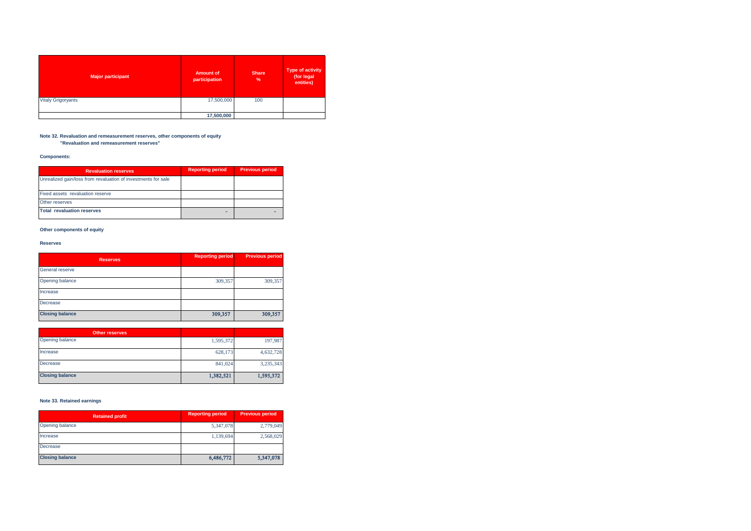| <b>Major participant</b>  | <b>Amount of</b><br>participation | <b>Share</b><br>% | Type of activity<br>(for legal<br>entities) |
|---------------------------|-----------------------------------|-------------------|---------------------------------------------|
| <b>Vitaly Grigoryants</b> | 17,500,000                        | 100               |                                             |
|                           | 17,500,000                        |                   |                                             |

#### **Note 32. Revaluation and remeasurement reserves, other components of equity "Revaluation and remeasurement reserves"**

**Components:**

| <b>Revaluation reserves</b>                                   | <b>Reporting period</b> | <b>Previous period</b> |
|---------------------------------------------------------------|-------------------------|------------------------|
| Unrealized gain/loss from revaluation of investments for sale |                         |                        |
| Fixed assets revaluation reserve                              |                         |                        |
| Other reserves                                                |                         |                        |
| <b>Total revaluation reserves</b>                             |                         |                        |

## **Other components of equity**

# **Reserves**

| <b>Reserves</b>        | <b>Reporting period</b> | <b>Previous period</b> |
|------------------------|-------------------------|------------------------|
| General reserve        |                         |                        |
| Opening balance        | 309,357                 | 309,357                |
| Increase               |                         |                        |
| Decrease               |                         |                        |
| <b>Closing balance</b> | 309,357                 | 309,357                |

| <b>Other reserves</b>  |           |           |
|------------------------|-----------|-----------|
| Opening balance        | 1,595,372 | 197,987   |
| Increase               | 628,173   | 4,632,728 |
| Decrease               | 841,024   | 3,235,343 |
| <b>Closing balance</b> | 1,382,521 | 1,595,372 |

## **Note 33. Retained earnings**

| <b>Retained profit</b> | <b>Reporting period</b> | <b>Previous period</b> |
|------------------------|-------------------------|------------------------|
| Opening balance        | 5,347,078               | 2,779,049              |
| Increase               | 1,139,694               | 2,568,029              |
| Decrease               |                         |                        |
| <b>Closing balance</b> | 6,486,772               | 5,347,078              |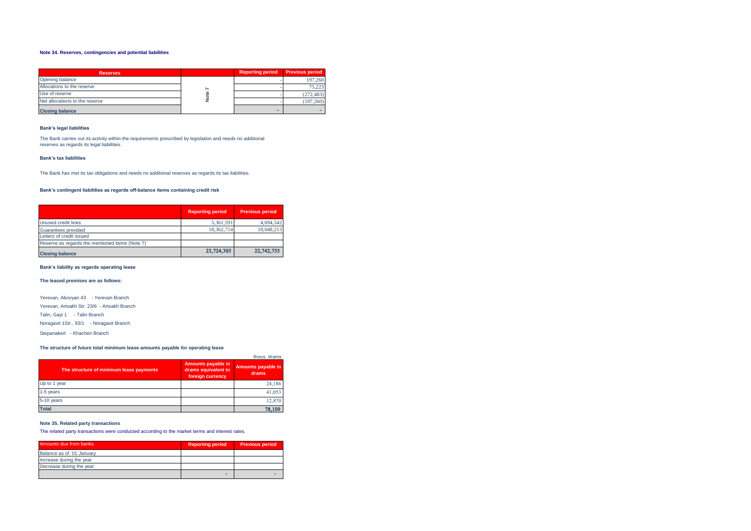## **Note 34. Reserves, contingencies and potential liabilities**

| <b>Reserves</b>                                                                                                                                                                              |        | <b>Reporting period</b> | <b>Previous period</b> |  |  |  |  |
|----------------------------------------------------------------------------------------------------------------------------------------------------------------------------------------------|--------|-------------------------|------------------------|--|--|--|--|
| Opening balance                                                                                                                                                                              |        |                         | 197,260                |  |  |  |  |
| Allocations to the reserve                                                                                                                                                                   |        |                         | 75,223                 |  |  |  |  |
| Use of reserve                                                                                                                                                                               | Note 7 |                         | (272, 483)             |  |  |  |  |
| Net allocations to the reserve                                                                                                                                                               |        |                         | (197, 260)             |  |  |  |  |
| <b>Closing balance</b>                                                                                                                                                                       |        | ۰                       |                        |  |  |  |  |
| <b>Bank's legal liabilities</b><br>The Bank carries out its activity within the requirements prescribed by legislation and needs no additional<br>reserves as regards its legal liabilities. |        |                         |                        |  |  |  |  |
| <b>Bank's tax liabilities</b>                                                                                                                                                                |        |                         |                        |  |  |  |  |
| The Bank has met its tax obligations and needs no additional reserves as regards its tax liabilities.                                                                                        |        |                         |                        |  |  |  |  |
| Bank's contingent liabilities as regards off-balance items containing credit risk                                                                                                            |        |                         |                        |  |  |  |  |

#### **Bank's legal liabilities**

#### **Bank's tax liabilities**

|                                                 | <b>Reporting period</b> | <b>Previous period</b> |
|-------------------------------------------------|-------------------------|------------------------|
| Unused credit lines                             | 5,361,591               | 4,694,542              |
| Guarantees provided                             | 18.362.714              | 18,048,213             |
| Letters of credit issued                        |                         |                        |
| Reserve as regards the mentioned items (Note 7) |                         |                        |
| <b>Closing balance</b>                          | 23,724,305              | 22,742,755             |

#### **Bank's liability as regards operating lease**

## **The leased premises are as follows:**

Yerevan, Abovyan 43 - Yerevan Branch Yerevan, Artsakh Str. 23/6 - Artsakh Branch Talin, Gayi 1 - Talin Branch Noragavit 1Str., 93/1 - Noragavit Branch

Stepanakert - Khachen Branch

## **The structure of future total minimum lease amounts payable for operating lease**

| The structure of minimum lease payments | Amounts payable in<br>drams equivalent to<br>foreign currency | thous, drams<br>Amounts payable in<br>drams |
|-----------------------------------------|---------------------------------------------------------------|---------------------------------------------|
| Up to 1 year                            |                                                               | 24.186                                      |
| 1-5 years                               |                                                               | 41.053                                      |
| 5-10 years                              |                                                               | 12,870                                      |
| <b>Total</b>                            |                                                               | 78,109                                      |

#### **Note 35. Related party transactions**

The related party transactions were conducted according to the market terms and interest rates.

| Amounts due from banks   | <b>Reporting period</b> | <b>Previous period</b> |
|--------------------------|-------------------------|------------------------|
| Balance as of 01 January |                         |                        |
| Increase during the year |                         |                        |
| Decrease during the year |                         |                        |
|                          | -                       |                        |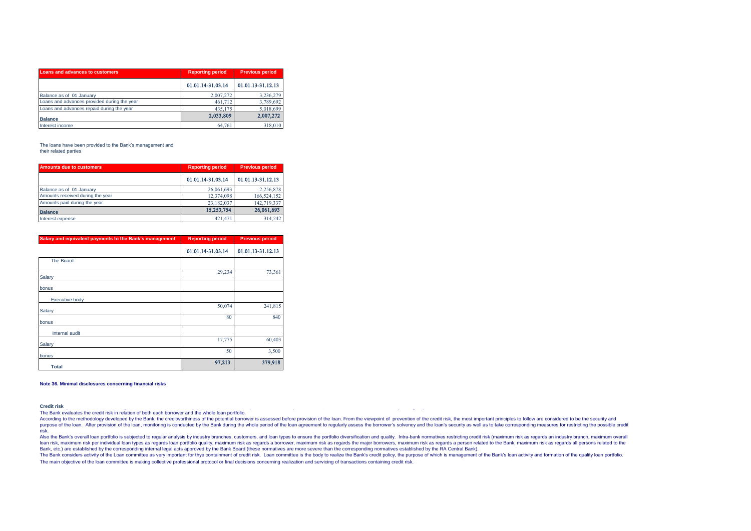| Loans and advances to customers             | <b>Reporting period</b> | <b>Previous period</b> |  |
|---------------------------------------------|-------------------------|------------------------|--|
|                                             | 01.01.14-31.03.14       | 01.01.13-31.12.13      |  |
| Balance as of 01 January                    | 2,007,272               | 3,236,279              |  |
| Loans and advances provided during the year | 461.712                 | 3,789,692              |  |
| Loans and advances repaid during the year   | 435.175                 | 5,018,699              |  |
| <b>Balance</b>                              | 2,033,809               | 2,007,272              |  |
| Interest income                             | 64.761                  | 318,010                |  |

#### The loans have been provided to the Bank's management and their related parties

| Amounts due to customers         | <b>Reporting period</b> | <b>Previous period</b> |  |
|----------------------------------|-------------------------|------------------------|--|
|                                  | 01.01.14-31.03.14       | 01.01.13-31.12.13      |  |
| Balance as of 01 January         | 26,061,693              | 2,256,878              |  |
| Amounts received during the year | 12,374,098              | 166,524,152            |  |
| Amounts paid during the year     | 23.182.037              | 142,719,337            |  |
| <b>Balance</b>                   | 15,253,754              | 26,061,693             |  |
| Interest expense                 | 421.471                 | 314.242                |  |

| Salary and equivalent payments to the Bank's management | <b>Reporting period</b> | <b>Previous period</b> |  |
|---------------------------------------------------------|-------------------------|------------------------|--|
|                                                         | 01.01.14-31.03.14       | 01.01.13-31.12.13      |  |
| <b>The Board</b>                                        |                         |                        |  |
| Salary                                                  | 29,234                  | 73,361                 |  |
| bonus                                                   |                         |                        |  |
| <b>Executive body</b>                                   |                         |                        |  |
| Salary                                                  | 50,074                  | 241,815                |  |
| bonus                                                   | 80                      | 840                    |  |
| Internal audit                                          |                         |                        |  |
| Salary                                                  | 17,775                  | 60,403                 |  |
| bonus                                                   | 50                      | 3,500                  |  |
| <b>Total</b>                                            | 97,213                  | 379,918                |  |

#### **Note 36. Minimal disclosures concerning financial risks**

Credit risk<br>The Bank evaluates the credit risk in relation of both each borrower and the whole loan portfolio.

According to the methodology developed by the Bank, the creditworthiness of the potential borrower is assessed before provision of the loan. From the viewpoint of prevention of the credit risk, the most important principle purpose of the loan. After provision of the loan, monitoring is conducted by the Bank during the whole period of the loan agreement to requiarly assess the borrower's solvency and the loan's security as well as to take cor risk.

Also the Bank's overall loan portfolio is subjected to requiar analysis by industry branches, customers, and loan types to ensure the portfolio diversification and quality. Intra-bank normatives restricting credit risk (ma and the maximum risk as required to the bank, maximum risk as required to the controller produced by the maximum risk as required to the maximum risk as required to the maximum risk as required to the controller and the ma Bank, etc.) are established by the corresponding internal legal acts approved by the Bank Board (these normatives are more severe than the corresponding normatives established by the RA Central Bank).

The Bank considers activity of the Loan committee as very important for thye containment of credit risk. Loan committee is the body to realize the Bank's credit policy, the purpose of which is management of the Bank's loan The main objective of the loan committee is making collective professional protocol or final decisions concerning realization and servicing of transactions containing credit risk.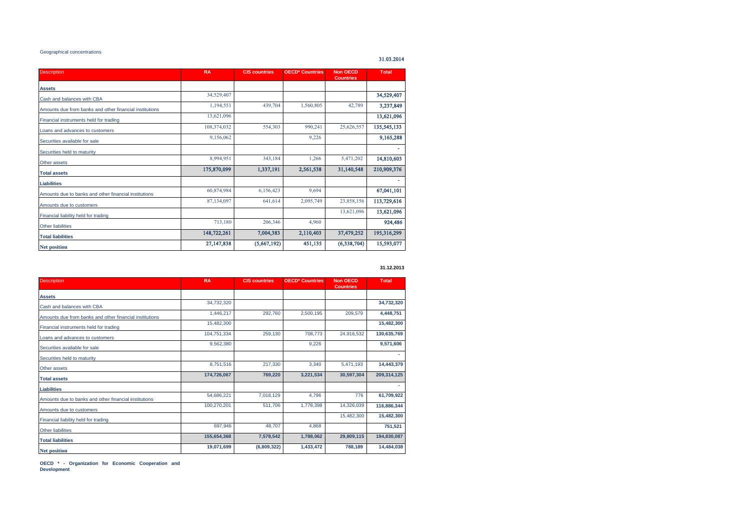## Geographical concentrations

31.03.2014

| <b>Description</b>                                      | <b>RA</b>   | <b>CIS countries</b> | <b>OECD* Countries</b> | <b>Non OECD</b><br><b>Countries</b> | <b>Total</b> |
|---------------------------------------------------------|-------------|----------------------|------------------------|-------------------------------------|--------------|
| <b>Assets</b>                                           |             |                      |                        |                                     |              |
| Cash and balances with CBA                              | 34,529,407  |                      |                        |                                     | 34,529,407   |
| Amounts due from banks and other financial institutions | 1,194,551   | 439,704              | 1,560,805              | 42,789                              | 3,237,849    |
| Financial instruments held for trading                  | 13,621,096  |                      |                        |                                     | 13,621,096   |
| Loans and advances to customers                         | 108,374,032 | 554,303              | 990,241                | 25,626,557                          | 135,545,133  |
| Securities available for sale                           | 9,156,062   |                      | 9,226                  |                                     | 9,165,288    |
| Securities held to maturity                             |             |                      |                        |                                     |              |
| Other assets                                            | 8,994,951   | 343,184              | 1,266                  | 5,471,202                           | 14,810,603   |
| <b>Total assets</b>                                     | 175,870,099 | 1,337,191            | 2,561,538              | 31,140,548                          | 210,909,376  |
| <b>Liabilities</b>                                      |             |                      |                        |                                     |              |
| Amounts due to banks and other financial institutions   | 60,874,984  | 6,156,423            | 9.694                  |                                     | 67,041,101   |
| Amounts due to customers                                | 87,134,097  | 641,614              | 2,095,749              | 23,858,156                          | 113,729,616  |
| Financial liability held for trading                    |             |                      |                        | 13,621,096                          | 13,621,096   |
| <b>Other liabilities</b>                                | 713,180     | 206,346              | 4,960                  |                                     | 924,486      |
| <b>Total liabilities</b>                                | 148,722,261 | 7,004,383            | 2,110,403              | 37,479,252                          | 195,316,299  |
| <b>Net position</b>                                     | 27,147,838  | (5,667,192)          | 451,135                | (6,338,704)                         | 15,593,077   |

#### **31.12.2013**

| <b>Description</b>                                      | <b>RA</b>   | <b>CIS countries</b> | <b>OECD* Countries</b> | <b>Non OECD</b><br><b>Countries</b> | <b>Total</b> |
|---------------------------------------------------------|-------------|----------------------|------------------------|-------------------------------------|--------------|
| <b>Assets</b>                                           |             |                      |                        |                                     |              |
| Cash and balances with CBA                              | 34,732,320  |                      |                        |                                     | 34,732,320   |
| Amounts due from banks and other financial institutions | 1,446,217   | 292,760              | 2,500,195              | 209,579                             | 4,448,751    |
| Financial instruments held for trading                  | 15,482,300  |                      |                        |                                     | 15,482,300   |
| Loans and advances to customers                         | 104,751,334 | 259,130              | 708,773                | 24,916,532                          | 130,635,769  |
| Securities available for sale                           | 9,562,380   |                      | 9,226                  |                                     | 9,571,606    |
| Securities held to maturity                             |             |                      |                        |                                     |              |
| Other assets                                            | 8,751,516   | 217,330              | 3,340                  | 5,471,193                           | 14,443,379   |
| <b>Total assets</b>                                     | 174,726,067 | 769,220              | 3,221,534              | 30,597,304                          | 209,314,125  |
| <b>Liabilities</b>                                      |             |                      |                        |                                     |              |
| Amounts due to banks and other financial institutions   | 54,686,221  | 7,018,129            | 4.796                  | 776                                 | 61,709,922   |
| Amounts due to customers                                | 100,270,201 | 511,706              | 1,778,398              | 14,326,039                          | 116,886,344  |
| Financial liability held for trading                    |             |                      |                        | 15,482,300                          | 15,482,300   |
| <b>Other liabilities</b>                                | 697,946     | 48,707               | 4,868                  |                                     | 751,521      |
| <b>Total liabilities</b>                                | 155,654,368 | 7,578,542            | 1,788,062              | 29,809,115                          | 194,830,087  |
| <b>Net position</b>                                     | 19,071,699  | (6,809,322)          | 1,433,472              | 788,189                             | 14,484,038   |

**OECD \* - Organization for Economic Cooperation and Development**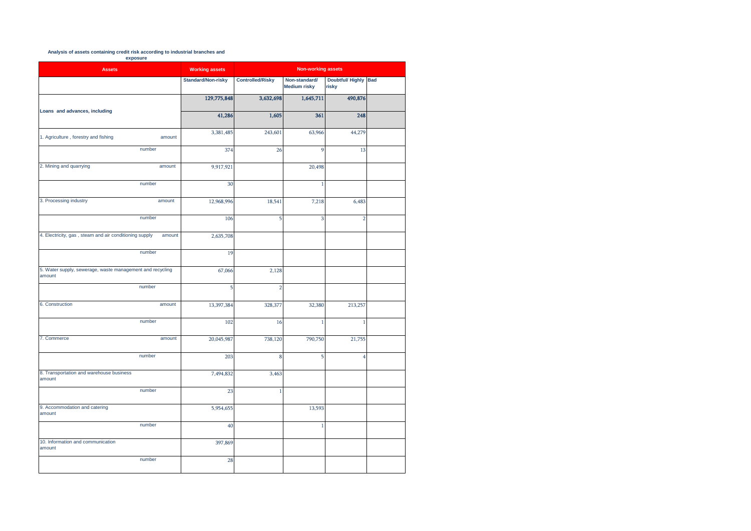# **Analysis of assets containing credit risk according to industrial branches and**

**exposure** 

| <b>Assets</b>                                                       | <b>Working assets</b>     |                         | <b>Non-working assets</b>            |                                  |            |  |  |  |
|---------------------------------------------------------------------|---------------------------|-------------------------|--------------------------------------|----------------------------------|------------|--|--|--|
|                                                                     | <b>Standard/Non-risky</b> | <b>Controlled/Risky</b> | Non-standard/<br><b>Medium risky</b> | <b>Doubtful/ Highly</b><br>risky | <b>Bad</b> |  |  |  |
|                                                                     | 129,775,848               | 3,632,698               | 1,645,711                            | 490,876                          |            |  |  |  |
| Loans and advances, including                                       | 41,286                    | 1,605                   | 361                                  | 248                              |            |  |  |  |
| 1. Agriculture, forestry and fishing<br>amount                      | 3,381,485                 | 243,601                 | 63,966                               | 44,279                           |            |  |  |  |
| number                                                              | 374                       | 26                      | $\mathbf{Q}$                         | 13                               |            |  |  |  |
| 2. Mining and quarrying<br>amount                                   | 9,917,921                 |                         | 20,498                               |                                  |            |  |  |  |
| number                                                              | 30                        |                         | 1                                    |                                  |            |  |  |  |
| 3. Processing industry<br>amount                                    | 12,968,996                | 18,541                  | 7,218                                | 6,483                            |            |  |  |  |
| number                                                              | 106                       | 5                       | 3                                    | ŋ                                |            |  |  |  |
| 4. Electricity, gas, steam and air conditioning supply<br>amount    | 2,635,708                 |                         |                                      |                                  |            |  |  |  |
| number                                                              | 19                        |                         |                                      |                                  |            |  |  |  |
| 5. Water supply, sewerage, waste management and recycling<br>amount | 67,066                    | 2,128                   |                                      |                                  |            |  |  |  |
| number                                                              | 5                         | 2                       |                                      |                                  |            |  |  |  |
| 6. Construction<br>amount                                           | 13,397,384                | 328,377                 | 32,380                               | 213,257                          |            |  |  |  |
| number                                                              | 102                       | 16                      | $\mathbf{1}$                         |                                  |            |  |  |  |
| 7. Commerce<br>amount                                               | 20,045,987                | 738,120                 | 790,750                              | 21,755                           |            |  |  |  |
| number                                                              | 203                       | 8                       | 5                                    | 4                                |            |  |  |  |
| 8. Transportation and warehouse business<br>amount                  | 7,494,832                 | 3,463                   |                                      |                                  |            |  |  |  |
| number                                                              | 23                        | 1                       |                                      |                                  |            |  |  |  |
| 9. Accommodation and catering<br>amount                             | 5,954,655                 |                         | 13,593                               |                                  |            |  |  |  |
| number                                                              | 40                        |                         | J                                    |                                  |            |  |  |  |
| 10. Information and communication<br>amount                         | 397,869                   |                         |                                      |                                  |            |  |  |  |
| number                                                              | 28                        |                         |                                      |                                  |            |  |  |  |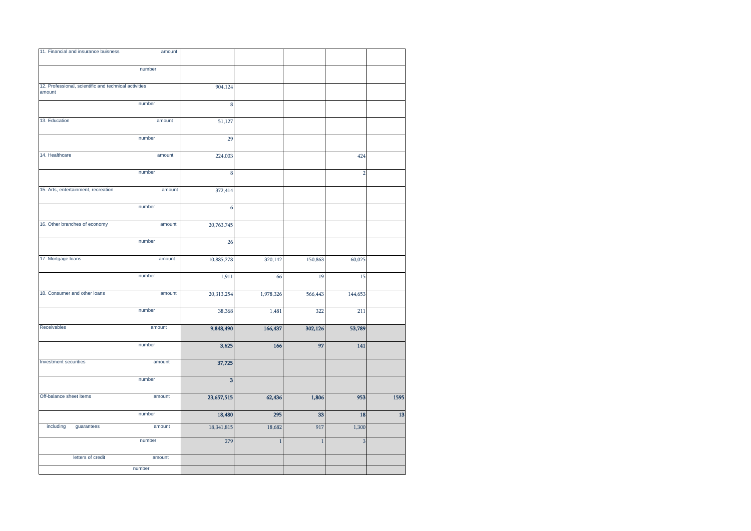| 11. Financial and insurance buisness                            | amount           |                   |                        |                     |                |      |
|-----------------------------------------------------------------|------------------|-------------------|------------------------|---------------------|----------------|------|
|                                                                 | number           |                   |                        |                     |                |      |
| 12. Professional, scientific and technical activities<br>amount |                  | 904,124           |                        |                     |                |      |
|                                                                 | number           | 8                 |                        |                     |                |      |
| 13. Education                                                   | amount           | 51,127            |                        |                     |                |      |
|                                                                 | number           | 29                |                        |                     |                |      |
| 14. Healthcare                                                  | amount           | 224,003           |                        |                     | 424            |      |
|                                                                 | number           | 8                 |                        |                     | $\overline{2}$ |      |
| 15. Arts, entertainment, recreation                             | amount           | 372,414           |                        |                     |                |      |
|                                                                 | number           | 6                 |                        |                     |                |      |
| 16. Other branches of economy                                   | amount           | 20,763,745        |                        |                     |                |      |
|                                                                 | number           | 26                |                        |                     |                |      |
| 17. Mortgage loans                                              | amount           | 10,885,278        | 320,142                | 150,863             | 60,025         |      |
|                                                                 | number           | 1,911             | 66                     | 19                  | 15             |      |
| 18. Consumer and other loans                                    | amount           | 20,313,254        | 1,978,326              | 566,443             | 144,653        |      |
|                                                                 | number           | 38,368            | 1,481                  | 322                 | 211            |      |
| Receivables                                                     | amount           | 9,848,490         | 166,437                | 302,126             | 53,789         |      |
|                                                                 | number           | 3,625             | 166                    | 97                  | 141            |      |
| Investment securities                                           | amount           |                   |                        |                     |                |      |
|                                                                 |                  | 37,725            |                        |                     |                |      |
|                                                                 | number           | 3                 |                        |                     |                |      |
| Off-balance sheet items                                         | amount           | 23,657,515        | 62,436                 | 1,806               | 953            | 1595 |
| including<br>guarantees                                         | number<br>amount | 18,480            | 295                    | 33                  | 18             | 13   |
|                                                                 | number           | 18,341,815<br>279 | 18,682<br>$\mathbf{1}$ | 917<br>$\mathbf{1}$ | 1,300<br>3     |      |
| letters of credit                                               | amount           |                   |                        |                     |                |      |
|                                                                 | number           |                   |                        |                     |                |      |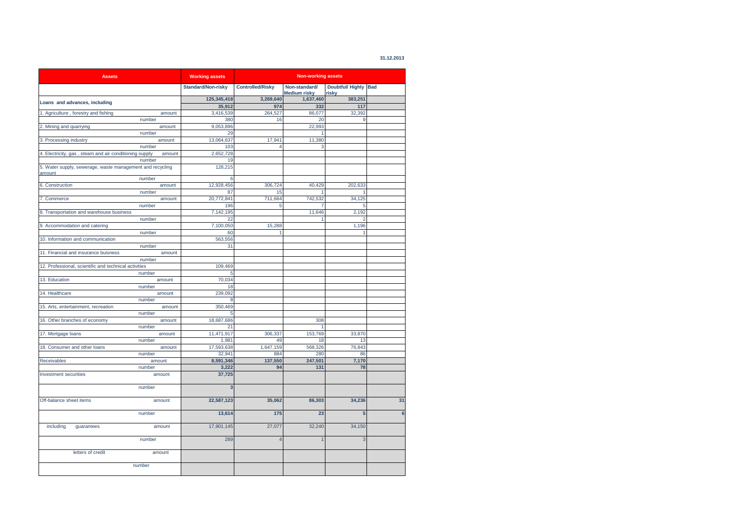| 31.12.2013 |  |  |
|------------|--|--|
|            |  |  |

| <b>Assets</b>                                                       |        | <b>Working assets</b>   | <b>Non-working assets</b> |                                      |                               |    |
|---------------------------------------------------------------------|--------|-------------------------|---------------------------|--------------------------------------|-------------------------------|----|
|                                                                     |        | Standard/Non-risky      | <b>Controlled/Risky</b>   | Non-standard/<br><b>Medium risky</b> | Doubtful/ Highly Bad<br>risky |    |
|                                                                     |        | 125,345,418             | 3,269,640                 | 1,637,460                            | 383,251                       |    |
| Loans and advances, including                                       |        | 35,912                  | 974                       | 332                                  | 117                           |    |
| 1. Agriculture, forestry and fishing                                | amount | 3,416,539               | 264,527                   | 86,077                               | 32,392                        |    |
|                                                                     | number | 380                     | 16                        | 20                                   | 9                             |    |
| 2. Mining and quarrying                                             | amount | 9,053,896               |                           | 22,993                               |                               |    |
|                                                                     | number | 29                      |                           |                                      |                               |    |
| 3. Processing industry                                              | amount | 13,064,637              | 17,941                    | 11,380                               |                               |    |
|                                                                     | number | 103                     | 4                         | 3                                    |                               |    |
| 4. Electricity, gas, steam and air conditioning supply              | amount | 2,652,728               |                           |                                      |                               |    |
|                                                                     | number | 19                      |                           |                                      |                               |    |
| 5. Water supply, sewerage, waste management and recycling<br>amount |        | 128,215                 |                           |                                      |                               |    |
|                                                                     | number | 6                       |                           |                                      |                               |    |
| 6. Construction                                                     | amount | 12,928,456              | 306,724                   | 40,429                               | 202,633                       |    |
|                                                                     | number | 87                      | 15                        |                                      | 1                             |    |
| 7. Commerce                                                         | amount | 20,772,841              | 711,664                   | 742,532                              | 34,125                        |    |
|                                                                     | number | 196                     | 5                         |                                      | 5                             |    |
| 8. Transportation and warehouse business                            |        | 7,142,195               |                           | 11,646                               | 2,192                         |    |
|                                                                     | number | 22                      |                           |                                      | 2                             |    |
| 9. Accommodation and catering                                       |        | 7,100,050               | 15,288                    |                                      | 1,196                         |    |
|                                                                     | number | 60                      | 1                         |                                      | 1                             |    |
| 10. Information and communication                                   |        | 563,556                 |                           |                                      |                               |    |
|                                                                     | number | 31                      |                           |                                      |                               |    |
| 11. Financial and insurance buisness                                | amount |                         |                           |                                      |                               |    |
|                                                                     | number |                         |                           |                                      |                               |    |
| 12. Professional, scientific and technical activities               |        | 109,469                 |                           |                                      |                               |    |
|                                                                     | number | 5                       |                           |                                      |                               |    |
| 13. Education                                                       | amount | 70.034                  |                           |                                      |                               |    |
|                                                                     | number | 18                      |                           |                                      |                               |    |
| 14. Healthcare                                                      | amount | 239,092                 |                           |                                      |                               |    |
|                                                                     | number | 8                       |                           |                                      |                               |    |
| 15. Arts, entertainment, recreation                                 | amount | 350,469                 |                           |                                      |                               |    |
|                                                                     | number | 5                       |                           |                                      |                               |    |
| 16. Other branches of economy                                       | amount | 18,687,686              |                           | 308                                  |                               |    |
|                                                                     | number | 21                      |                           | 1                                    |                               |    |
|                                                                     | amount | 11,471,917              | 306,337                   | 153,769                              | 33,870                        |    |
| 17. Mortgage loans                                                  | number | 1,981                   | 49                        | 18                                   | 13                            |    |
| 18. Consumer and other loans                                        | amount | 17,593,638              | 1,647,159                 | 568,326                              | 76,843                        |    |
|                                                                     | number | 32,941                  | 884                       | 280                                  | 86                            |    |
| <b>Receivables</b>                                                  | amount | 8,591,346               | 137,550                   | 247,501                              | 7,170                         |    |
|                                                                     | number | 3,222                   | 94                        | 131                                  | 78                            |    |
| <b>Investment securities</b>                                        | amount | 37,725                  |                           |                                      |                               |    |
|                                                                     | number | $\overline{\mathbf{3}}$ |                           |                                      |                               |    |
| Off-balance sheet items                                             | amount | 22,587,123              | 35,062                    | 86,303                               | 34,236                        | 31 |
|                                                                     | number | 13,614                  | 175                       | 23                                   | 5                             | 6  |
| including<br>quarantees                                             | amount | 17,901,145              | 27,077                    | 32,240                               | 34,150                        |    |
|                                                                     | number | 289                     | $\overline{4}$            | $\overline{1}$                       | 3                             |    |
| letters of credit                                                   | amount |                         |                           |                                      |                               |    |
|                                                                     | number |                         |                           |                                      |                               |    |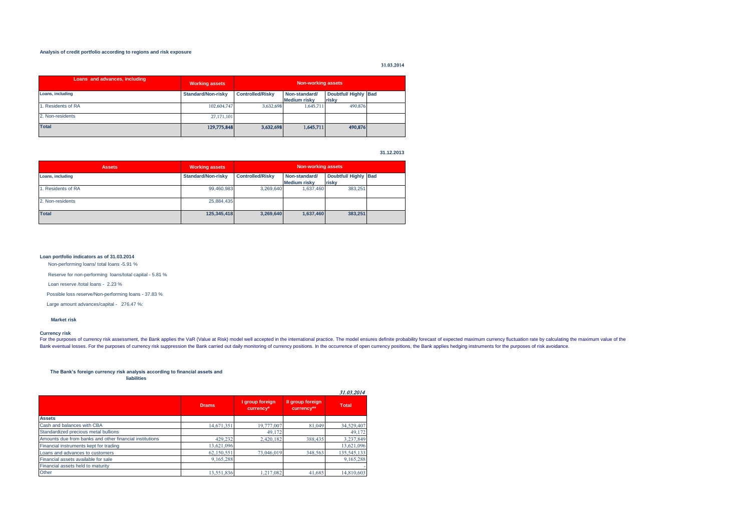### **Analysis of credit portfolio according to regions and risk exposure**

# 31.03.2014

| Loans and advances, including | <b>Working assets</b>     |                         | Non-working assets                   |                               |  |
|-------------------------------|---------------------------|-------------------------|--------------------------------------|-------------------------------|--|
| Loans, including              | <b>Standard/Non-risky</b> | <b>Controlled/Risky</b> | Non-standard/<br><b>Medium risky</b> | Doubtful/ Highly Bad<br>risky |  |
| 1. Residents of RA            | 102,604,747               | 3,632,698               | 1,645,711                            | 490,876                       |  |
| 2. Non-residents              | 27, 171, 101              |                         |                                      |                               |  |
| <b>Total</b>                  | 129,775,848               | 3.632,698               | 1,645,711                            | 490,876                       |  |

**31.12.2013**

| <b>Assets</b>     | <b>Working assets</b>     | <b>Non-working assets</b> |                                      |                              |  |  |  |  |
|-------------------|---------------------------|---------------------------|--------------------------------------|------------------------------|--|--|--|--|
| Loans, including  | <b>Standard/Non-risky</b> | <b>Controlled/Risky</b>   | Non-standard/<br><b>Medium risky</b> | Doubtful/Highly Bad<br>risky |  |  |  |  |
| . Residents of RA | 99,460,983                | 3.269.640                 | 1,637,460                            | 383,251                      |  |  |  |  |
| 2. Non-residents  | 25,884,435                |                           |                                      |                              |  |  |  |  |
| <b>Total</b>      | 125,345,418               | 3.269.640                 | 1,637,460                            | 383,251                      |  |  |  |  |

#### **Loan portfolio indicators as of 31.03.2014**

Non-performing loans/ total loans -5.91 %

Reserve for non-performing loans/total capital - 5.81 %

Loan reserve /total loans - 2.23 %

Possible loss reserve/Non-performing loans - 37.83 %

Large amount advances/capital - 276.47 %:

#### **Market risk**

#### **Currency risk**

For the purposes of currency risk assessment, the Bank applies the VaR (Value at Risk) model well accepted in the international practice. The model ensures definite probability forecast of expected maximum currency fluctua Bank eventual losses. For the purposes of currency risk suppression the Bank carried out daily monitoring of currency positions. In the occurrence of open currency positions, the Bank applies hedging instruments for the pu

#### **The Bank's foreign currency risk analysis according to financial assets and liabilities**

|                                                         |              |                              |                                | 31.03.2014   |
|---------------------------------------------------------|--------------|------------------------------|--------------------------------|--------------|
|                                                         | <b>Drams</b> | I group foreign<br>currency* | Il group foreign<br>currency** | <b>Total</b> |
| <b>Assets</b>                                           |              |                              |                                |              |
| Cash and balances with CBA                              | 14,671,351   | 19,777,007                   | 81,049                         | 34,529,407   |
| Standardized precious metal bullions                    |              | 49.172                       |                                | 49.172       |
| Amounts due from banks and other financial institutions | 429,232      | 2,420,182                    | 388,435                        | 3,237,849    |
| Financial instruments kept for trading                  | 13,621,096   |                              |                                | 13,621,096   |
| Loans and advances to customers                         | 62,150,551   | 73,046,019                   | 348,563                        | 135,545,133  |
| Financial assets available for sale                     | 9,165,288    |                              |                                | 9,165,288    |
| Financial assets held to maturity                       |              |                              |                                |              |
| Other                                                   | 13,551,836   | 1.217.082                    | 41.685                         | 14,810,603   |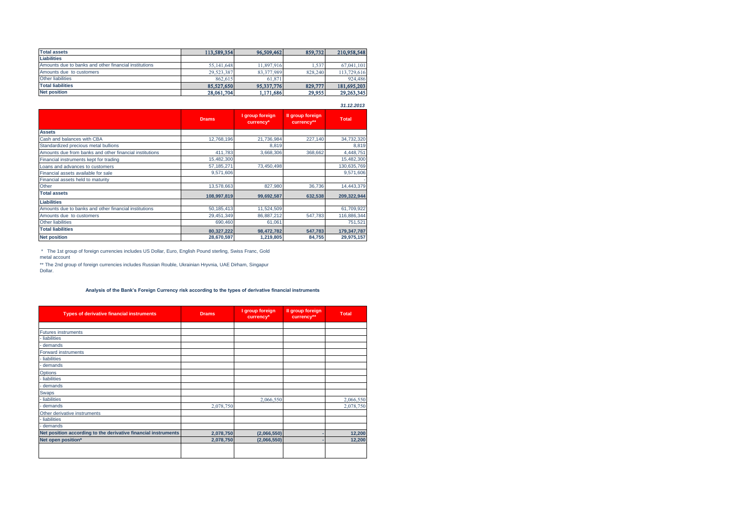| <b>Total assets</b>                                   | 113,589,354 | 96,509,462 | 859,732 | 210,958,548 |
|-------------------------------------------------------|-------------|------------|---------|-------------|
| <b>Liabilities</b>                                    |             |            |         |             |
| Amounts due to banks and other financial institutions | 55,141,648  | 11,897,916 | .537    | 67.041.101  |
| Amounts due to customers                              | 29,523,387  | 83,377,989 | 828,240 | 113,729,616 |
| <b>Other liabilities</b>                              | 862.615     | 61.871     |         | 924,486     |
| <b>Total liabilities</b>                              | 85,527,650  | 95,337,776 | 829,777 | 181,695,203 |
| <b>Net position</b>                                   | 28,061,704  | 1,171,686  | 29,955  | 29,263,345  |

**Assets** Cash and balances with CBA 12,768,196 21,736,984 227,140 34,732,320<br>Standardized precious metal bullions 8,819 8,819 Standardized precious metal bullions and the financial institutions and the state of the standardized precious metal bullions and the financial institutions and the standard and the financial institutions and the standardi Amounts due from banks and other financial institutions Financial instruments kept for trading  $\begin{array}{|l|l|}\n 15,482,300 \\
 \hline\n 57,185,271\n \end{array}$  73,450,498 130,635,769 Loans and advances to customers and advances to customers and advances to customers and advances to customers the structure of the structure of the structure of the structure of the structure of the structure of the struct Financial assets available for sale Financial assets held to maturity and the control of the control of the control of the control of the control of the control of the control of the control of the control of the control of the control of the control of the Other 13,578,663 827,980 36,736 14,443,379 36,736 14,443,379 **Total assets 108,997,819 99,692,587 632,538 209,322,944 Liabilities** Amounts due to banks and other financial institutions <br>Amounts due to customers 61,709,922<br>Amounts due to customers **61,709,922**<br>Amounts due to customers **61,709,922** Amounts due to customers 29,451,349 86,887,212 547,783 116,886,344<br>
29,450,460 690,460 61,061 751.521 751.521 Other liabilities 690,460 61,061 751,521 **Total liabilities 80,327,222 98,472,782 547,783 179,347,787 Net position 28,670,597 1,219,805 84,755 29,975,157 Total II group foreign currency\*\* I group foreign currency\* Drams** *31.12.2013*

 \* The 1st group of foreign currencies includes US Dollar, Euro, English Pound sterling, Swiss Franc, Gold metal account

\*\* The 2nd group of foreign currencies includes Russian Rouble, Ukrainian Hryvnia, UAE Dirham, Singapur Dollar.

### **Analysis of the Bank's Foreign Currency risk according to the types of derivative financial instruments**

| <b>Types of derivative financial instruments</b>               | <b>Drams</b> | I group foreign<br>currency* | Il group foreign<br>currency** | <b>Total</b> |
|----------------------------------------------------------------|--------------|------------------------------|--------------------------------|--------------|
|                                                                |              |                              |                                |              |
| <b>Futures instruments</b>                                     |              |                              |                                |              |
| liabilities                                                    |              |                              |                                |              |
| demands                                                        |              |                              |                                |              |
| Forward instruments                                            |              |                              |                                |              |
| liabilities                                                    |              |                              |                                |              |
| demands                                                        |              |                              |                                |              |
| <b>Options</b>                                                 |              |                              |                                |              |
| liabilities                                                    |              |                              |                                |              |
| demands                                                        |              |                              |                                |              |
| Swaps                                                          |              |                              |                                |              |
| liabilities                                                    |              | 2,066,550                    |                                | 2,066,550    |
| demands                                                        | 2,078,750    |                              |                                | 2,078,750    |
| Other derivative instruments                                   |              |                              |                                |              |
| liabilities                                                    |              |                              |                                |              |
| - demands                                                      |              |                              |                                |              |
| Net position according to the derivative financial instruments | 2,078,750    | (2,066,550)                  |                                | 12,200       |
| Net open position*                                             | 2,078,750    | (2,066,550)                  |                                | 12,200       |
|                                                                |              |                              |                                |              |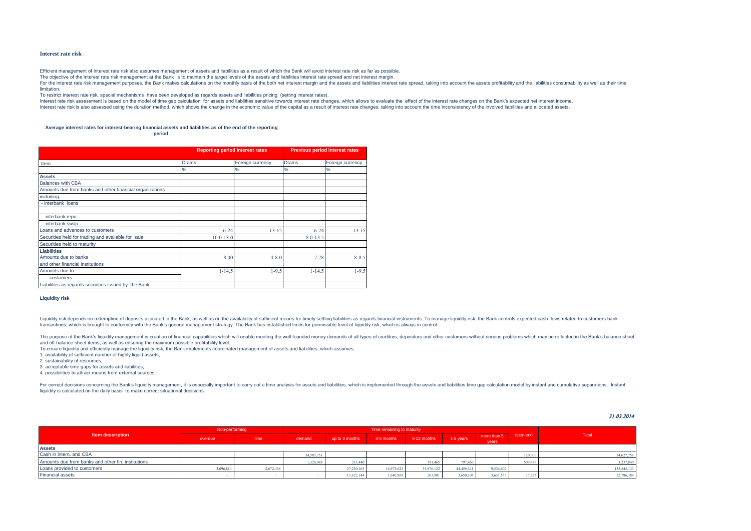#### **Interest rate risk**

Efficient management of interest rate risk also assumes management of assets and liabilities as a result of which the Bank will avoid interest rate risk as far as possible.

The objective of the interest rate risk management at the Bank is to maintain the target levels of the assets and liabilities interest rate spread and net interest margin.

For the interest rate risk management purposes, the Bank makes calculations on the monthly basis of the both net interest margin and the assets and liabilities interest rate spread, taking into account the assets profitabi limitation.

To restrict interest rate risk, special mechanisms have been developed as regards assets and liabilities pricing (setting interest rates).

Interest rate risk assessment is based on the model of time gap calculation for assets and liabilities sensitive towards interest rate changes, which allows to evaluate the effect of the interest rate changes on the Bank's Interest rate risk is also assessed using the duration method, which shows the change in the economic value of the capital as a result of interest rate changes, taking into account the time inconsistency of the involved li

#### **Average interest rates for interest-bearing financial assets and liabilities as of the end of the reporting**

**period**

|                                                          | <b>Reporting period interest rates</b> |                  | <b>Previous period interest rates</b> |                  |  |  |
|----------------------------------------------------------|----------------------------------------|------------------|---------------------------------------|------------------|--|--|
| Item                                                     | <b>Drams</b>                           | Foreign currency | <b>Drams</b>                          | Foreign currency |  |  |
|                                                          | $\%$                                   | %                | %                                     | %                |  |  |
| <b>Assets</b>                                            |                                        |                  |                                       |                  |  |  |
| <b>Balances with CBA</b>                                 |                                        |                  |                                       |                  |  |  |
| Amounts due from banks and other financial organizations |                                        |                  |                                       |                  |  |  |
| including                                                |                                        |                  |                                       |                  |  |  |
| - interbank loans                                        |                                        |                  |                                       |                  |  |  |
|                                                          |                                        |                  |                                       |                  |  |  |
| - interbank repo                                         |                                        |                  |                                       |                  |  |  |
| - interbank swap                                         |                                        |                  |                                       |                  |  |  |
| Loans and advances to customers                          | $6 - 24$                               | $13 - 15$        | $6 - 24$                              | $13 - 15$        |  |  |
| Securities held for trading and available for sale       | $10.0 - 13.0$                          |                  | $8.0 - 13.5$                          |                  |  |  |
| Securities held to maturity                              |                                        |                  |                                       |                  |  |  |
| <b>Liabilities</b>                                       |                                        |                  |                                       |                  |  |  |
| Amounts due to banks                                     | 8.00                                   | $4 - 8.0$        | 7.78                                  | $8 - 8.5$        |  |  |
| and other financial institutions                         |                                        |                  |                                       |                  |  |  |
| Amounts due to                                           | $1 - 14.5$                             | $1 - 9.5$        | $1 - 14.5$                            | $1 - 9.5$        |  |  |
| customers                                                |                                        |                  |                                       |                  |  |  |
| Liabilities as regards securities issued by the Bank     |                                        |                  |                                       |                  |  |  |

#### **Liquidity risk**

Liquidity risk depends on redemption of deposits allocated in the Bank, as well as on the availability of sufficient means for timely settling liabilities as regards financial instruments. To manage liquidity risk, the Ban transactions, which is brought to conformity with the Bank's general management strategy. The Bank has established limits for permissible level of liquidity risk, which is always in control.

The purpose of the Bank's liquidity management is creation of financial capabilities which will enable meeting the well founded money demands of all types of creditors, depositors and other customers without serious proble and off-balance sheet items, as well as ensuring the maximum possible profitability level.

To ensure liquidity and efficiently manage the liquidity risk, the Bank implements coordinated management of assets and liabilities, which assumes:

1. availability of sufficient number of highly liquid assets,

2. sustainability of resources,

3. acceptable time gaps for assets and liabilities,

4. possibilities to attract means from external sources.

For correct decisions concerning the Bank's liguidity management, it is especially important to carry out a time analysis for assets and liablilties, which is implemented through the assets and liablilties time gap calcula liquidity is calculated on the daily basis to make correct situational decisions.

# 31.03.2014

| <b>Item description</b>                            | Non-performing |           |            |                | Time remaining to maturity |             |            |                      |          |             |
|----------------------------------------------------|----------------|-----------|------------|----------------|----------------------------|-------------|------------|----------------------|----------|-------------|
|                                                    | overdue        | time      | demand     | up to 3 months | 3-6 months                 | 6-12 months | 1-5 years  | more than 5<br>vears | open-end | Total       |
| <b>Assets</b>                                      |                |           |            |                |                            |             |            |                      |          |             |
| Cash in intern. and CBA                            |                |           | 34,507,751 |                |                            |             |            |                      | 120,000  | 34,627,751  |
| Amounts due from banks and other fin, institutions |                |           | 1,326,048  | 213,440        |                            | 391.465     | 797.460    |                      | 509,436  | 3,237,849   |
| Loans provided to customers                        | 3,096,814      | 2,672,468 |            | 27,230,163     | 14,675,623                 | 33,876,122  | 44,459,341 | 9,534,602            |          | 135,545,133 |
| <b>Financial assets</b>                            |                |           |            | 13.622.144     | 1.640.969                  | 203.901     | 3.650.108  | 3.631.537            | 37,725   | 22.786.384  |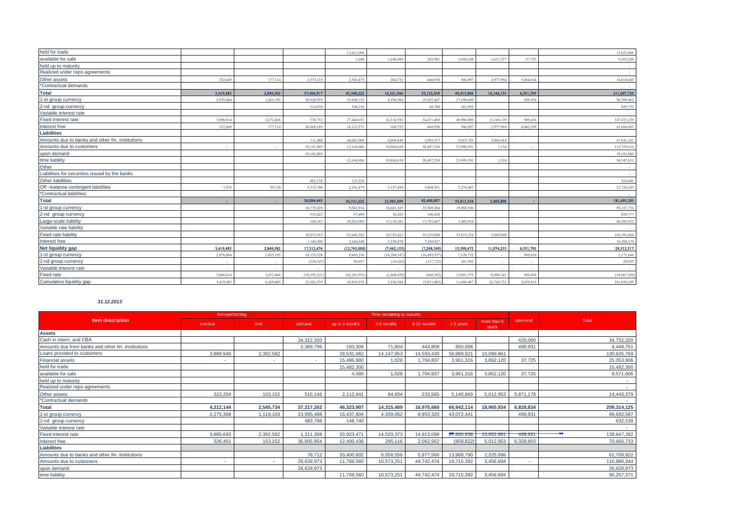| held for trade                                   |           |           |               | 13,621,096     |                |                |            |            |           | 13,621,096   |
|--------------------------------------------------|-----------|-----------|---------------|----------------|----------------|----------------|------------|------------|-----------|--------------|
| available for sale                               |           |           |               | 1.048          | 1.640.969      | 203,901        | 3.650.108  | 3.631.53   | 37,725    | 9,165,288    |
| held up to maturity                              |           |           |               |                |                |                |            |            |           |              |
| Realized under repo agreements                   |           |           |               |                |                |                |            |            |           |              |
| Other assets                                     | 322,669   | 177,114   | 1,573,118     | 2,502,475      | 204,752        | 660,950        | 506,897    | 2.977.994  | 5.884.634 | 14,810,603   |
| *Contractual demands                             |           |           |               |                |                |                |            |            |           |              |
| <b>Total</b>                                     | 3,419,483 | 2,849,582 | 37,406,917    | 43,568,222     | 16,521,344     | 35,132,438     | 49,413,806 | 16,144,133 | 6,551,795 | 211,007,720  |
| 1-st group currency                              | 2,876,064 | 1,625,195 | 20,928,95     | 19,608,152     | 4,396,560      | 19,455,44      | 27,109,649 |            | 509,436   | 96,509,462   |
| 2-nd group currency                              |           |           | 314,87        | 194,156        |                | 48,708         | 301,992    |            |           | 859,732      |
| Variable interest rate                           |           |           |               |                |                |                |            |            |           |              |
| Fixed interest rate                              | 3.096.814 | 2.672.468 | 738,732       | 27,444,651     | 16.316.592     | 34,471,488     | 48,906,909 | 13,166,139 | 509,436   | 147,323,229  |
| Interest free                                    | 322.669   | 177,114   | 36,668,185    | 16,123,571     | 204,752        | 660,950        | 506,897    | 2.977.994  | 6.042.359 | 63,684,491   |
| <b>Liabilities</b>                               |           |           |               |                |                |                |            |            |           |              |
| Amounts due to banks and other fin. institutions |           |           | 111,480       | 44,042,908     | 4,098,849      | 3,903,557      | 9,815,743  | 5,068,564  |           | 67,041,10    |
| Amounts due to customers                         |           |           | 19.181.80:    | 12.164.986     | 19,884,650     | 38,497,250     | 23,999,591 | 1.334      |           | 113,729,616  |
| upon demand                                      |           |           | 19,181,805    |                |                |                |            |            |           | 19,181,805   |
| time liability                                   |           |           |               | 12.164.986     | 19,884,650     | 38,497,250     | 23,999,591 | 1.334      |           | 94,547,811   |
| Other                                            |           |           |               |                |                |                |            |            |           |              |
| Liabilities for securities issued by the banks   |           |           |               |                |                |                |            |            |           |              |
| Other liabilities                                |           |           | 801,158       | 123,328        |                |                |            |            |           | 924,486      |
| Off-balance contingent liabilities               | 7.07      | 59,720    | 5.315.70      | 2.101.479      | 5.157.458      | 5.804.391      | 5.278.487  |            |           | 23,724,305   |
| *Contractual liabilities                         |           |           |               |                |                |                |            |            |           |              |
| <b>Total</b>                                     | m.        |           | 20,094,443    | 56,331,222     | 23,983,499     | 42,400,807     | 33,815,334 | 5,069,898  |           | 181,695,203  |
| 1-st group currency                              |           |           | 10,775,439    | 9,942,916      | 18,681,107     | 35,949,384     | 19,988,930 |            |           | 95,337,776   |
| 2-nd group currency                              |           |           | 535,423       | 97,499         | 10,425         | 186,430        |            |            |           | 829,777      |
| Large-scale liability                            |           |           | 169,347       | 29.824.903     | 13,110,301     | 13,792,447     | 3.488.924  |            |           | 60,385,922   |
| Variable rate liability                          |           |           |               |                |                |                |            |            |           |              |
| <b>Fixed rate liability</b>                      |           |           | 18,933,95     | 53,686,582     | 18,725,421     | 35,159,880     | 33,815,334 | 5.069.898  |           | 165,391,068  |
| Interest free                                    |           |           | 1.160,490     | 2.644.640      | 5,258,078      | 7.240.927      |            |            |           | 16,304,135   |
| Net liquidity gap                                | 3,419,483 | 2,849,582 | 17,312,474    | (12,763,000)   | (7, 462, 155)  | (7, 268, 369)  | 15,598,472 | 11,074,235 | 6,551,795 | 29,312,517   |
| 1-st group currency                              | 2,876,064 | 1,625,195 | 10,153,520    | 9,665,236      | (14, 284, 547) | (16, 493, 937) | 7,120,719  |            | 509,436   | 1,171,686    |
| 2-nd group currency                              | ÷,        |           | (220, 54)     | 96.657         | (10, 425)      | (137, 722)     | 301,992    |            |           | 29,955       |
| Variable interest rate                           |           |           |               |                |                |                |            |            |           |              |
| <b>Fixed rate</b>                                | 3.096.814 | 2,672,468 | (18, 195, 22) | (26, 241, 931) | (2,408,829)    | (688.392       | 15,091,575 | 8.096.241  | 509,436   | (18,067,839) |
| Cumulative liquidity gap                         | 3.419.483 | 6.269.065 | 23.581.539    | 10.818.539     | 3.356.384      | (3.911.985)    | 11.686.487 | 22.760.722 | 2.639.810 | 181,695,203  |
|                                                  |           |           |               |                |                |                |            |            |           |              |

# *31.12.2013*

| <b>Item description</b>                            | Non-performing |           | Time remaining to maturity |                |              |             |            |                      |           |             |
|----------------------------------------------------|----------------|-----------|----------------------------|----------------|--------------|-------------|------------|----------------------|-----------|-------------|
|                                                    | overdue        | time      | demand                     | up to 3 months | 3-6 months   | 6-12 months | 1-5 years  | more than 5<br>vears | open-end  | Total       |
| <b>Assets</b>                                      |                |           |                            |                |              |             |            |                      |           |             |
| Cash in intern. and CBA                            |                |           | 34,312,320                 |                |              |             |            |                      | 420,000   | 34,732,320  |
| Amounts due from banks and other fin. institutions |                |           | 2,389,796                  | 193.304        | 71.904       | 443,808     | 850,008    |                      | 499.931   | 4,448,751   |
| Loans provided to customers                        | 3,889,940      | 2,392,582 |                            | 28,531,082     | 14, 147, 953 | 14,593,430  | 56,989,921 | 10,090,861           |           | 130,635,769 |
| <b>Financial assets</b>                            | ٠              |           |                            | 15,486,880     | 1,028        | 1,704,837   | 3,961,316  | 3,862,120            | 37,725    | 25,053,906  |
| held for trade                                     |                |           |                            | 15,482,300     |              |             |            |                      |           | 15,482,300  |
| available for sale                                 |                |           |                            | 4.580          | 1.028        | 1,704,837   | 3.961.316  | 3.862.120            | 37.725    | 9,571,606   |
| held up to maturity                                |                |           |                            |                |              |             |            |                      |           |             |
| Realized under repo agreements                     |                |           |                            |                |              |             |            |                      |           | х.          |
| Other assets                                       | 322,204        | 153,152   | 515,146                    | 2,112,641      | 94,604       | 233,585     | 5,140,869  | 5,012,953            | 5,871,178 | 14,443,379  |
| *Contractual demands                               |                |           |                            |                |              |             |            |                      |           |             |
| <b>Total</b>                                       | 4,212,144      | 2,545,734 | 37,217,262                 | 46,323,907     | 14,315,489   | 16,975,660  | 66,942,114 | 18,965,934           | 6,828,834 | 209,314,125 |
| 1-st group currency                                | 2,275,368      | 1,119,163 | 23,995,498                 | 15,437,804     | 4,339,062    | 8,953,320   | 43,072,441 |                      | 499,931   | 99,692,587  |
| 2-nd group currency                                |                |           | 483,798                    | 148,740        |              |             |            |                      |           | 632,538     |
| Variable interest rate                             |                |           |                            |                |              |             |            |                      |           |             |
| Fixed interest rate                                | 3,885,693      | 2,392,582 | 1,211,308                  | 33,923,471     | 14,020,373   | 14,913,098  | 67,800,936 | 13,952,981           | 499,931   | 138,647,392 |
| Interest free                                      | 326,451        | 153,152   | 36,005,954                 | 12,400,436     | 295,116      | 2,062,562   | (858, 822) | 5,012,953            | 6,328,903 | 70,666,733  |
| <b>Liabilities</b>                                 |                |           |                            |                |              |             |            |                      |           |             |
| Amounts due to banks and other fin. institutions   |                |           | 78,712                     | 33,400,602     | 6,058,556    | 5,977,566   | 13,968,790 | 2,225,696            |           | 61,709,922  |
| Amounts due to customers                           | ٠              |           | 26,628,973                 | 11,769,560     | 10,573,251   | 44,742,474  | 19,715,392 | 3,456,694            | $\sim$    | 116,886,344 |
| upon demand                                        |                |           | 26,628,973                 |                |              |             |            |                      |           | 26,628,973  |
| time liability                                     |                |           |                            | 11,769,560     | 10,573,251   | 44,742,474  | 19,715,392 | 3,456,694            |           | 90,257,371  |